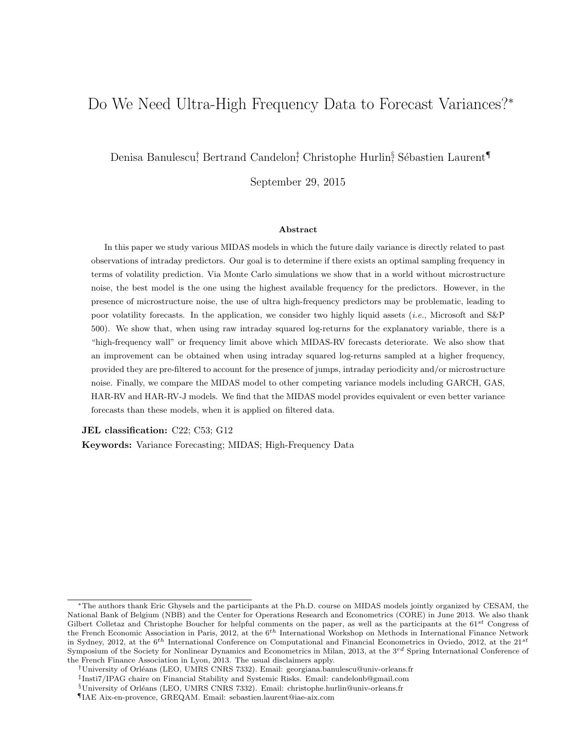# Do We Need Ultra-High Frequency Data to Forecast Variances?<sup>∗</sup>

Denisa Banulescu<sup>†</sup> Bertrand Candelon<sup>‡</sup>, Christophe Hurlin<sup>§</sup> Sébastien Laurent¶

September 29, 2015

#### Abstract

In this paper we study various MIDAS models in which the future daily variance is directly related to past observations of intraday predictors. Our goal is to determine if there exists an optimal sampling frequency in terms of volatility prediction. Via Monte Carlo simulations we show that in a world without microstructure noise, the best model is the one using the highest available frequency for the predictors. However, in the presence of microstructure noise, the use of ultra high-frequency predictors may be problematic, leading to poor volatility forecasts. In the application, we consider two highly liquid assets (*i.e.*, Microsoft and  $S\&P$ 500). We show that, when using raw intraday squared log-returns for the explanatory variable, there is a "high-frequency wall" or frequency limit above which MIDAS-RV forecasts deteriorate. We also show that an improvement can be obtained when using intraday squared log-returns sampled at a higher frequency, provided they are pre-filtered to account for the presence of jumps, intraday periodicity and/or microstructure noise. Finally, we compare the MIDAS model to other competing variance models including GARCH, GAS, HAR-RV and HAR-RV-J models. We find that the MIDAS model provides equivalent or even better variance forecasts than these models, when it is applied on filtered data.

JEL classification: C22; C53; G12

Keywords: Variance Forecasting; MIDAS; High-Frequency Data

<sup>∗</sup>The authors thank Eric Ghysels and the participants at the Ph.D. course on MIDAS models jointly organized by CESAM, the National Bank of Belgium (NBB) and the Center for Operations Research and Econometrics (CORE) in June 2013. We also thank Gilbert Colletaz and Christophe Boucher for helpful comments on the paper, as well as the participants at the  $61^{st}$  Congress of the French Economic Association in Paris, 2012, at the  $6<sup>th</sup>$  International Workshop on Methods in International Finance Network in Sydney, 2012, at the  $6^{th}$  International Conference on Computational and Financial Econometrics in Oviedo, 2012, at the  $21^{st}$ Symposium of the Society for Nonlinear Dynamics and Econometrics in Milan, 2013, at the  $3^{rd}$  Spring International Conference of the French Finance Association in Lyon, 2013. The usual disclaimers apply.

<sup>†</sup>University of Orl´eans (LEO, UMRS CNRS 7332). Email: georgiana.banulescu@univ-orleans.fr

<sup>‡</sup> Insti7/IPAG chaire on Financial Stability and Systemic Risks. Email: candelonb@gmail.com

 $\S$ University of Orléans (LEO, UMRS CNRS 7332). Email: christophe.hurlin@univ-orleans.fr

<sup>¶</sup>IAE Aix-en-provence, GREQAM. Email: sebastien.laurent@iae-aix.com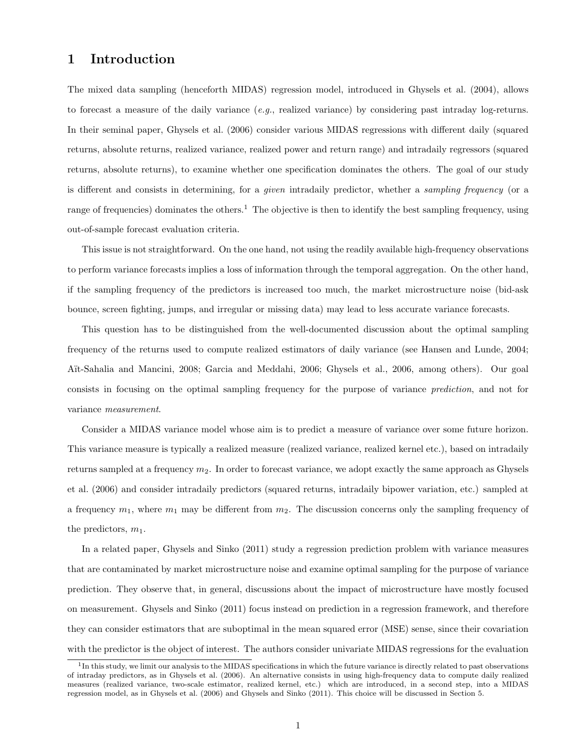# 1 Introduction

The mixed data sampling (henceforth MIDAS) regression model, introduced in Ghysels et al. (2004), allows to forecast a measure of the daily variance  $(e.g.,$  realized variance) by considering past intraday log-returns. In their seminal paper, Ghysels et al. (2006) consider various MIDAS regressions with different daily (squared returns, absolute returns, realized variance, realized power and return range) and intradaily regressors (squared returns, absolute returns), to examine whether one specification dominates the others. The goal of our study is different and consists in determining, for a given intradaily predictor, whether a sampling frequency (or a range of frequencies) dominates the others.<sup>1</sup> The objective is then to identify the best sampling frequency, using out-of-sample forecast evaluation criteria.

This issue is not straightforward. On the one hand, not using the readily available high-frequency observations to perform variance forecasts implies a loss of information through the temporal aggregation. On the other hand, if the sampling frequency of the predictors is increased too much, the market microstructure noise (bid-ask bounce, screen fighting, jumps, and irregular or missing data) may lead to less accurate variance forecasts.

This question has to be distinguished from the well-documented discussion about the optimal sampling frequency of the returns used to compute realized estimators of daily variance (see Hansen and Lunde, 2004; A¨ıt-Sahalia and Mancini, 2008; Garcia and Meddahi, 2006; Ghysels et al., 2006, among others). Our goal consists in focusing on the optimal sampling frequency for the purpose of variance prediction, and not for variance measurement.

Consider a MIDAS variance model whose aim is to predict a measure of variance over some future horizon. This variance measure is typically a realized measure (realized variance, realized kernel etc.), based on intradaily returns sampled at a frequency  $m_2$ . In order to forecast variance, we adopt exactly the same approach as Ghysels et al. (2006) and consider intradaily predictors (squared returns, intradaily bipower variation, etc.) sampled at a frequency  $m_1$ , where  $m_1$  may be different from  $m_2$ . The discussion concerns only the sampling frequency of the predictors,  $m_1$ .

In a related paper, Ghysels and Sinko (2011) study a regression prediction problem with variance measures that are contaminated by market microstructure noise and examine optimal sampling for the purpose of variance prediction. They observe that, in general, discussions about the impact of microstructure have mostly focused on measurement. Ghysels and Sinko (2011) focus instead on prediction in a regression framework, and therefore they can consider estimators that are suboptimal in the mean squared error (MSE) sense, since their covariation with the predictor is the object of interest. The authors consider univariate MIDAS regressions for the evaluation

<sup>&</sup>lt;sup>1</sup>In this study, we limit our analysis to the MIDAS specifications in which the future variance is directly related to past observations of intraday predictors, as in Ghysels et al. (2006). An alternative consists in using high-frequency data to compute daily realized measures (realized variance, two-scale estimator, realized kernel, etc.) which are introduced, in a second step, into a MIDAS regression model, as in Ghysels et al. (2006) and Ghysels and Sinko (2011). This choice will be discussed in Section 5.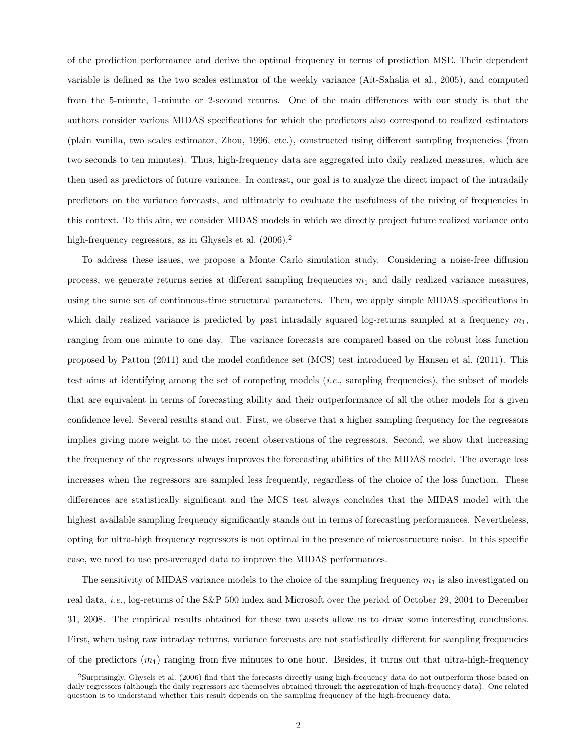of the prediction performance and derive the optimal frequency in terms of prediction MSE. Their dependent variable is defined as the two scales estimator of the weekly variance (A¨ıt-Sahalia et al., 2005), and computed from the 5-minute, 1-minute or 2-second returns. One of the main differences with our study is that the authors consider various MIDAS specifications for which the predictors also correspond to realized estimators (plain vanilla, two scales estimator, Zhou, 1996, etc.), constructed using different sampling frequencies (from two seconds to ten minutes). Thus, high-frequency data are aggregated into daily realized measures, which are then used as predictors of future variance. In contrast, our goal is to analyze the direct impact of the intradaily predictors on the variance forecasts, and ultimately to evaluate the usefulness of the mixing of frequencies in this context. To this aim, we consider MIDAS models in which we directly project future realized variance onto high-frequency regressors, as in Ghysels et al.  $(2006).<sup>2</sup>$ 

To address these issues, we propose a Monte Carlo simulation study. Considering a noise-free diffusion process, we generate returns series at different sampling frequencies  $m_1$  and daily realized variance measures, using the same set of continuous-time structural parameters. Then, we apply simple MIDAS specifications in which daily realized variance is predicted by past intradaily squared log-returns sampled at a frequency  $m_1$ , ranging from one minute to one day. The variance forecasts are compared based on the robust loss function proposed by Patton (2011) and the model confidence set (MCS) test introduced by Hansen et al. (2011). This test aims at identifying among the set of competing models (i.e., sampling frequencies), the subset of models that are equivalent in terms of forecasting ability and their outperformance of all the other models for a given confidence level. Several results stand out. First, we observe that a higher sampling frequency for the regressors implies giving more weight to the most recent observations of the regressors. Second, we show that increasing the frequency of the regressors always improves the forecasting abilities of the MIDAS model. The average loss increases when the regressors are sampled less frequently, regardless of the choice of the loss function. These differences are statistically significant and the MCS test always concludes that the MIDAS model with the highest available sampling frequency significantly stands out in terms of forecasting performances. Nevertheless, opting for ultra-high frequency regressors is not optimal in the presence of microstructure noise. In this specific case, we need to use pre-averaged data to improve the MIDAS performances.

The sensitivity of MIDAS variance models to the choice of the sampling frequency  $m_1$  is also investigated on real data, i.e., log-returns of the S&P 500 index and Microsoft over the period of October 29, 2004 to December 31, 2008. The empirical results obtained for these two assets allow us to draw some interesting conclusions. First, when using raw intraday returns, variance forecasts are not statistically different for sampling frequencies of the predictors  $(m_1)$  ranging from five minutes to one hour. Besides, it turns out that ultra-high-frequency

<sup>2</sup>Surprisingly, Ghysels et al. (2006) find that the forecasts directly using high-frequency data do not outperform those based on daily regressors (although the daily regressors are themselves obtained through the aggregation of high-frequency data). One related question is to understand whether this result depends on the sampling frequency of the high-frequency data.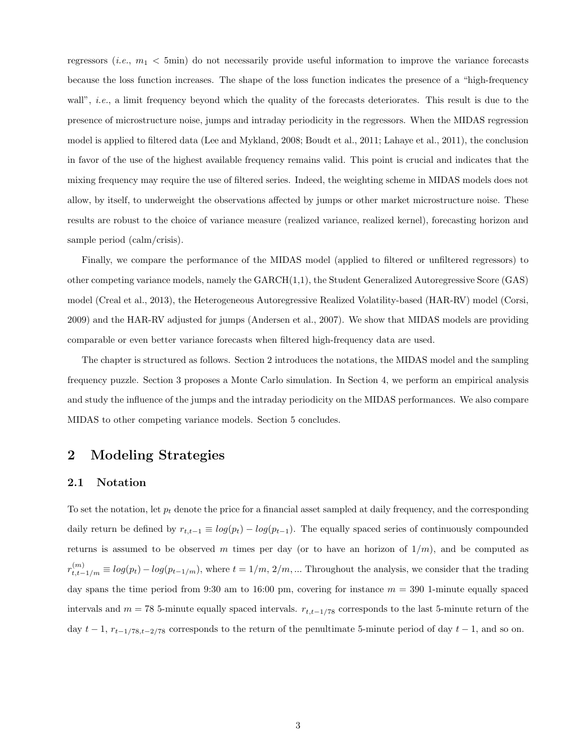regressors (*i.e.*,  $m_1 < 5$ min) do not necessarily provide useful information to improve the variance forecasts because the loss function increases. The shape of the loss function indicates the presence of a "high-frequency wall", *i.e.*, a limit frequency beyond which the quality of the forecasts deteriorates. This result is due to the presence of microstructure noise, jumps and intraday periodicity in the regressors. When the MIDAS regression model is applied to filtered data (Lee and Mykland, 2008; Boudt et al., 2011; Lahaye et al., 2011), the conclusion in favor of the use of the highest available frequency remains valid. This point is crucial and indicates that the mixing frequency may require the use of filtered series. Indeed, the weighting scheme in MIDAS models does not allow, by itself, to underweight the observations affected by jumps or other market microstructure noise. These results are robust to the choice of variance measure (realized variance, realized kernel), forecasting horizon and sample period (calm/crisis).

Finally, we compare the performance of the MIDAS model (applied to filtered or unfiltered regressors) to other competing variance models, namely the GARCH(1,1), the Student Generalized Autoregressive Score (GAS) model (Creal et al., 2013), the Heterogeneous Autoregressive Realized Volatility-based (HAR-RV) model (Corsi, 2009) and the HAR-RV adjusted for jumps (Andersen et al., 2007). We show that MIDAS models are providing comparable or even better variance forecasts when filtered high-frequency data are used.

The chapter is structured as follows. Section 2 introduces the notations, the MIDAS model and the sampling frequency puzzle. Section 3 proposes a Monte Carlo simulation. In Section 4, we perform an empirical analysis and study the influence of the jumps and the intraday periodicity on the MIDAS performances. We also compare MIDAS to other competing variance models. Section 5 concludes.

# 2 Modeling Strategies

#### 2.1 Notation

To set the notation, let  $p_t$  denote the price for a financial asset sampled at daily frequency, and the corresponding daily return be defined by  $r_{t,t-1} \equiv log(p_t) - log(p_{t-1})$ . The equally spaced series of continuously compounded returns is assumed to be observed m times per day (or to have an horizon of  $1/m$ ), and be computed as  $r_{t,t-1/m}^{(m)} \equiv log(p_t) - log(p_{t-1/m})$ , where  $t = 1/m$ ,  $2/m$ , ... Throughout the analysis, we consider that the trading day spans the time period from 9:30 am to 16:00 pm, covering for instance  $m = 390$  1-minute equally spaced intervals and  $m = 78$  5-minute equally spaced intervals.  $r_{t,t-1/78}$  corresponds to the last 5-minute return of the day  $t-1$ ,  $r_{t-1/78,t-2/78}$  corresponds to the return of the penultimate 5-minute period of day  $t-1$ , and so on.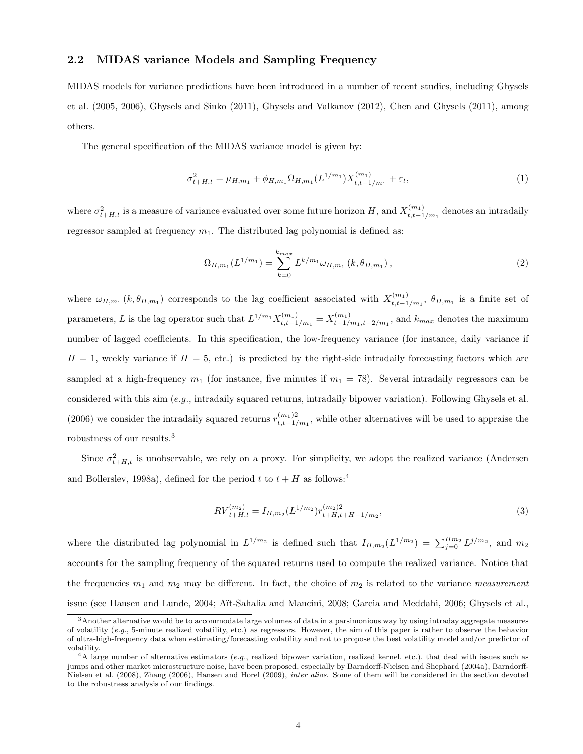### 2.2 MIDAS variance Models and Sampling Frequency

MIDAS models for variance predictions have been introduced in a number of recent studies, including Ghysels et al. (2005, 2006), Ghysels and Sinko (2011), Ghysels and Valkanov (2012), Chen and Ghysels (2011), among others.

The general specification of the MIDAS variance model is given by:

$$
\sigma_{t+H,t}^2 = \mu_{H,m_1} + \phi_{H,m_1} \Omega_{H,m_1} (L^{1/m_1}) X_{t,t-1/m_1}^{(m_1)} + \varepsilon_t,
$$
\n(1)

where  $\sigma_{t+H,t}^2$  is a measure of variance evaluated over some future horizon H, and  $X_{t,t-1}^{(m_1)}$  $_{t,t-1/m_1}^{(m_1)}$  denotes an intradaily regressor sampled at frequency  $m_1$ . The distributed lag polynomial is defined as:

$$
\Omega_{H,m_1}(L^{1/m_1}) = \sum_{k=0}^{k_{max}} L^{k/m_1} \omega_{H,m_1} (k, \theta_{H,m_1}), \qquad (2)
$$

where  $\omega_{H,m_1}(k, \theta_{H,m_1})$  corresponds to the lag coefficient associated with  $X_{t,t-1}^{(m_1)}$  $t, t-1/m_1$ ,  $\theta_{H,m_1}$  is a finite set of parameters, L is the lag operator such that  $L^{1/m_1} X_{t,t-1}^{(m_1)}$  $t_{t,t-1/m_1}^{(m_1)} = X_{t-1/2}^{(m_1)}$  $_{t-1/m_1,t-2/m_1}^{(m_1)}$ , and  $k_{max}$  denotes the maximum number of lagged coefficients. In this specification, the low-frequency variance (for instance, daily variance if  $H = 1$ , weekly variance if  $H = 5$ , etc.) is predicted by the right-side intradaily forecasting factors which are sampled at a high-frequency  $m_1$  (for instance, five minutes if  $m_1 = 78$ ). Several intradaily regressors can be considered with this aim (e.g., intradaily squared returns, intradaily bipower variation). Following Ghysels et al. (2006) we consider the intradaily squared returns  $r_{t,t-1}^{(m_1)2}$  $\binom{m_1}{t,t-1/m_1}$ , while other alternatives will be used to appraise the robustness of our results.<sup>3</sup>

Since  $\sigma_{t+H,t}^2$  is unobservable, we rely on a proxy. For simplicity, we adopt the realized variance (Andersen and Bollerslev, 1998a), defined for the period t to  $t + H$  as follows:<sup>4</sup>

$$
RV_{t+H,t}^{(m_2)} = I_{H,m_2}(L^{1/m_2})r_{t+H,t+H-1/m_2}^{(m_2)2},\tag{3}
$$

where the distributed lag polynomial in  $L^{1/m_2}$  is defined such that  $I_{H,m_2}(L^{1/m_2}) = \sum_{j=0}^{H_{m_2}} L^{j/m_2}$ , and  $m_2$ accounts for the sampling frequency of the squared returns used to compute the realized variance. Notice that the frequencies  $m_1$  and  $m_2$  may be different. In fact, the choice of  $m_2$  is related to the variance measurement issue (see Hansen and Lunde, 2004; Aït-Sahalia and Mancini, 2008; Garcia and Meddahi, 2006; Ghysels et al.,

<sup>3</sup>Another alternative would be to accommodate large volumes of data in a parsimonious way by using intraday aggregate measures of volatility  $(e.q., 5\text{-minute realized volatility}, etc.)$  as regressors. However, the aim of this paper is rather to observe the behavior of ultra-high-frequency data when estimating/forecasting volatility and not to propose the best volatility model and/or predictor of volatility.

 $4A$  large number of alternative estimators (e.g., realized bipower variation, realized kernel, etc.), that deal with issues such as jumps and other market microstructure noise, have been proposed, especially by Barndorff-Nielsen and Shephard (2004a), Barndorff-Nielsen et al. (2008), Zhang (2006), Hansen and Horel (2009), inter alios. Some of them will be considered in the section devoted to the robustness analysis of our findings.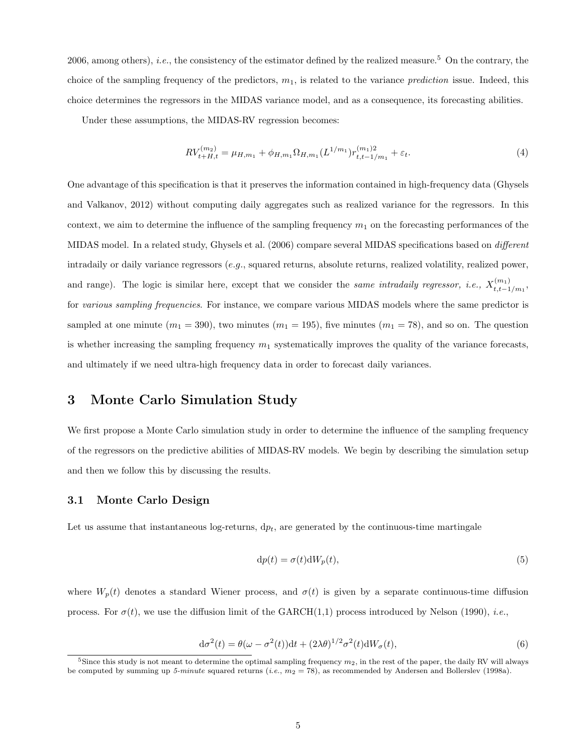2006, among others), *i.e.*, the consistency of the estimator defined by the realized measure.<sup>5</sup> On the contrary, the choice of the sampling frequency of the predictors,  $m_1$ , is related to the variance *prediction* issue. Indeed, this choice determines the regressors in the MIDAS variance model, and as a consequence, its forecasting abilities.

Under these assumptions, the MIDAS-RV regression becomes:

$$
RV_{t+H,t}^{(m_2)} = \mu_{H,m_1} + \phi_{H,m_1} \Omega_{H,m_1} (L^{1/m_1}) r_{t,t-1/m_1}^{(m_1)2} + \varepsilon_t.
$$
 (4)

One advantage of this specification is that it preserves the information contained in high-frequency data (Ghysels and Valkanov, 2012) without computing daily aggregates such as realized variance for the regressors. In this context, we aim to determine the influence of the sampling frequency  $m_1$  on the forecasting performances of the MIDAS model. In a related study, Ghysels et al. (2006) compare several MIDAS specifications based on different intradaily or daily variance regressors (e.g., squared returns, absolute returns, realized volatility, realized power, and range). The logic is similar here, except that we consider the same intradaily regressor, i.e.,  $X_{t,t-1}^{(m_1)}$  $_{t,t-1/m_1}^{(m_1)},$ for various sampling frequencies. For instance, we compare various MIDAS models where the same predictor is sampled at one minute  $(m_1 = 390)$ , two minutes  $(m_1 = 195)$ , five minutes  $(m_1 = 78)$ , and so on. The question is whether increasing the sampling frequency  $m_1$  systematically improves the quality of the variance forecasts, and ultimately if we need ultra-high frequency data in order to forecast daily variances.

# 3 Monte Carlo Simulation Study

We first propose a Monte Carlo simulation study in order to determine the influence of the sampling frequency of the regressors on the predictive abilities of MIDAS-RV models. We begin by describing the simulation setup and then we follow this by discussing the results.

#### 3.1 Monte Carlo Design

Let us assume that instantaneous log-returns,  $dp_t$ , are generated by the continuous-time martingale

$$
dp(t) = \sigma(t)dW_p(t),
$$
\n(5)

where  $W_p(t)$  denotes a standard Wiener process, and  $\sigma(t)$  is given by a separate continuous-time diffusion process. For  $\sigma(t)$ , we use the diffusion limit of the GARCH(1,1) process introduced by Nelson (1990), *i.e.*,

$$
d\sigma^{2}(t) = \theta(\omega - \sigma^{2}(t))dt + (2\lambda\theta)^{1/2}\sigma^{2}(t)dW_{\sigma}(t),
$$
\n(6)

<sup>&</sup>lt;sup>5</sup>Since this study is not meant to determine the optimal sampling frequency  $m_2$ , in the rest of the paper, the daily RV will always be computed by summing up 5-minute squared returns (i.e.,  $m_2 = 78$ ), as recommended by Andersen and Bollerslev (1998a).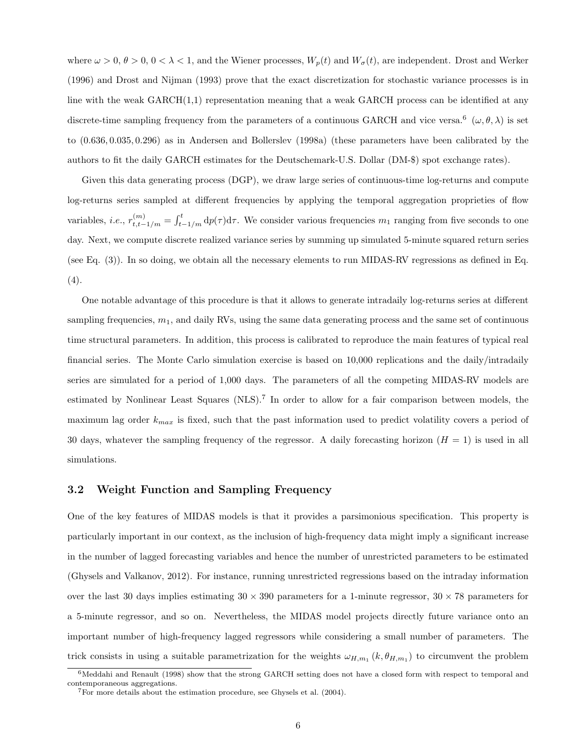where  $\omega > 0$ ,  $\theta > 0$ ,  $0 < \lambda < 1$ , and the Wiener processes,  $W_p(t)$  and  $W_\sigma(t)$ , are independent. Drost and Werker (1996) and Drost and Nijman (1993) prove that the exact discretization for stochastic variance processes is in line with the weak GARCH(1,1) representation meaning that a weak GARCH process can be identified at any discrete-time sampling frequency from the parameters of a continuous GARCH and vice versa.<sup>6</sup> ( $\omega, \theta, \lambda$ ) is set to (0.636, 0.035, 0.296) as in Andersen and Bollerslev (1998a) (these parameters have been calibrated by the authors to fit the daily GARCH estimates for the Deutschemark-U.S. Dollar (DM-\$) spot exchange rates).

Given this data generating process (DGP), we draw large series of continuous-time log-returns and compute log-returns series sampled at different frequencies by applying the temporal aggregation proprieties of flow variables, *i.e.*,  $r_{t,t-1/m}^{(m)} = \int_{t-1/m}^{t} dp(\tau) d\tau$ . We consider various frequencies  $m_1$  ranging from five seconds to one day. Next, we compute discrete realized variance series by summing up simulated 5-minute squared return series (see Eq. (3)). In so doing, we obtain all the necessary elements to run MIDAS-RV regressions as defined in Eq. (4).

One notable advantage of this procedure is that it allows to generate intradaily log-returns series at different sampling frequencies,  $m_1$ , and daily RVs, using the same data generating process and the same set of continuous time structural parameters. In addition, this process is calibrated to reproduce the main features of typical real financial series. The Monte Carlo simulation exercise is based on 10,000 replications and the daily/intradaily series are simulated for a period of 1,000 days. The parameters of all the competing MIDAS-RV models are estimated by Nonlinear Least Squares (NLS).<sup>7</sup> In order to allow for a fair comparison between models, the maximum lag order  $k_{max}$  is fixed, such that the past information used to predict volatility covers a period of 30 days, whatever the sampling frequency of the regressor. A daily forecasting horizon  $(H = 1)$  is used in all simulations.

#### 3.2 Weight Function and Sampling Frequency

One of the key features of MIDAS models is that it provides a parsimonious specification. This property is particularly important in our context, as the inclusion of high-frequency data might imply a significant increase in the number of lagged forecasting variables and hence the number of unrestricted parameters to be estimated (Ghysels and Valkanov, 2012). For instance, running unrestricted regressions based on the intraday information over the last 30 days implies estimating  $30 \times 390$  parameters for a 1-minute regressor,  $30 \times 78$  parameters for a 5-minute regressor, and so on. Nevertheless, the MIDAS model projects directly future variance onto an important number of high-frequency lagged regressors while considering a small number of parameters. The trick consists in using a suitable parametrization for the weights  $\omega_{H,m_1}(k, \theta_{H,m_1})$  to circumvent the problem

<sup>&</sup>lt;sup>6</sup>Meddahi and Renault (1998) show that the strong GARCH setting does not have a closed form with respect to temporal and contemporaneous aggregations.

<sup>7</sup>For more details about the estimation procedure, see Ghysels et al. (2004).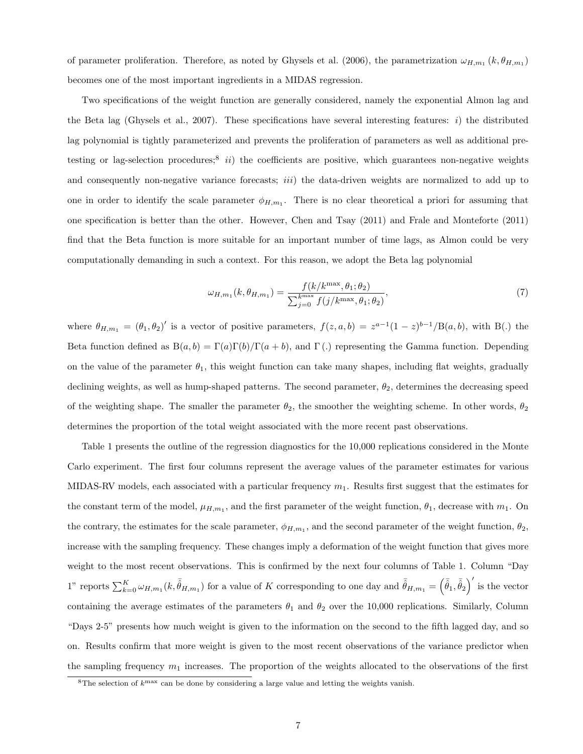of parameter proliferation. Therefore, as noted by Ghysels et al. (2006), the parametrization  $\omega_{H,m_1}(k, \theta_{H,m_1})$ becomes one of the most important ingredients in a MIDAS regression.

Two specifications of the weight function are generally considered, namely the exponential Almon lag and the Beta lag (Ghysels et al., 2007). These specifications have several interesting features:  $i)$  the distributed lag polynomial is tightly parameterized and prevents the proliferation of parameters as well as additional pretesting or lag-selection procedures;<sup>8</sup> ii) the coefficients are positive, which guarantees non-negative weights and consequently non-negative variance forecasts; *iii*) the data-driven weights are normalized to add up to one in order to identify the scale parameter  $\phi_{H,m_1}$ . There is no clear theoretical a priori for assuming that one specification is better than the other. However, Chen and Tsay (2011) and Frale and Monteforte (2011) find that the Beta function is more suitable for an important number of time lags, as Almon could be very computationally demanding in such a context. For this reason, we adopt the Beta lag polynomial

$$
\omega_{H,m_1}(k,\theta_{H,m_1}) = \frac{f(k/k^{\max}, \theta_1; \theta_2)}{\sum_{j=0}^{k^{\max}} f(j/k^{\max}, \theta_1; \theta_2)},
$$
\n(7)

where  $\theta_{H,m_1} = (\theta_1, \theta_2)'$  is a vector of positive parameters,  $f(z, a, b) = z^{a-1}(1-z)^{b-1}/B(a, b)$ , with B(.) the Beta function defined as  $B(a, b) = \Gamma(a)\Gamma(b)/\Gamma(a + b)$ , and  $\Gamma(c)$  representing the Gamma function. Depending on the value of the parameter  $\theta_1$ , this weight function can take many shapes, including flat weights, gradually declining weights, as well as hump-shaped patterns. The second parameter,  $\theta_2$ , determines the decreasing speed of the weighting shape. The smaller the parameter  $\theta_2$ , the smoother the weighting scheme. In other words,  $\theta_2$ determines the proportion of the total weight associated with the more recent past observations.

Table 1 presents the outline of the regression diagnostics for the 10,000 replications considered in the Monte Carlo experiment. The first four columns represent the average values of the parameter estimates for various MIDAS-RV models, each associated with a particular frequency  $m_1$ . Results first suggest that the estimates for the constant term of the model,  $\mu_{H,m_1}$ , and the first parameter of the weight function,  $\theta_1$ , decrease with  $m_1$ . On the contrary, the estimates for the scale parameter,  $\phi_{H,m_1}$ , and the second parameter of the weight function,  $\theta_2$ , increase with the sampling frequency. These changes imply a deformation of the weight function that gives more weight to the most recent observations. This is confirmed by the next four columns of Table 1. Column "Day 1" reports  $\sum_{k=0}^{K} \omega_{H,m_1}(k, \bar{\hat{\theta}}_{H,m_1})$  for a value of K corresponding to one day and  $\bar{\hat{\theta}}_{H,m_1} = (\bar{\hat{\theta}}_1, \bar{\hat{\theta}}_2)'$  is the vector containing the average estimates of the parameters  $\theta_1$  and  $\theta_2$  over the 10,000 replications. Similarly, Column "Days 2-5" presents how much weight is given to the information on the second to the fifth lagged day, and so on. Results confirm that more weight is given to the most recent observations of the variance predictor when the sampling frequency  $m_1$  increases. The proportion of the weights allocated to the observations of the first

 ${}^{8}$ The selection of  $k^{\text{max}}$  can be done by considering a large value and letting the weights vanish.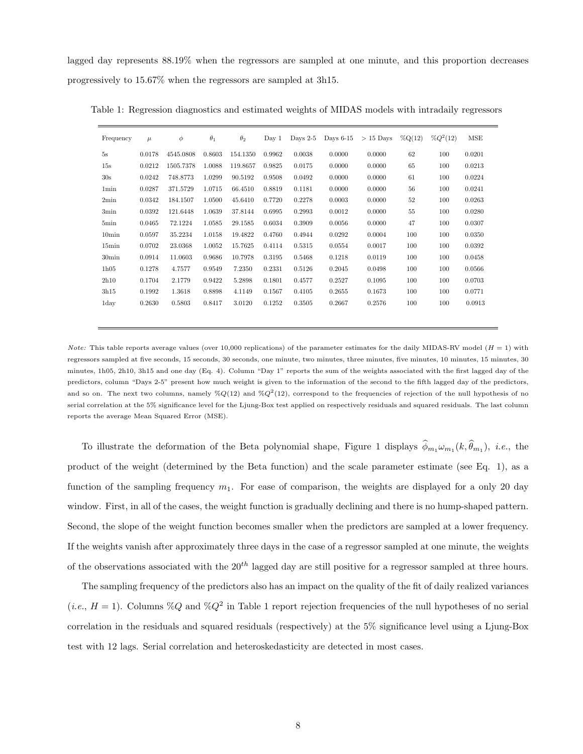lagged day represents 88.19% when the regressors are sampled at one minute, and this proportion decreases progressively to 15.67% when the regressors are sampled at 3h15.

| Frequency         | $\mu$  | $\phi$    | $\theta_1$ | $\theta_2$ | Day 1  | Days $2-5$ | Days $6-15$ | $>15$ Days | $\%Q(12)$ | $\%Q^2(12)$ | MSE    |
|-------------------|--------|-----------|------------|------------|--------|------------|-------------|------------|-----------|-------------|--------|
| 5s                | 0.0178 | 4545.0808 | 0.8603     | 154.1350   | 0.9962 | 0.0038     | 0.0000      | 0.0000     | 62        | 100         | 0.0201 |
| 15s               | 0.0212 | 1505.7378 | 1.0088     | 119.8657   | 0.9825 | 0.0175     | 0.0000      | 0.0000     | 65        | 100         | 0.0213 |
| 30s               | 0.0242 | 748.8773  | 1.0299     | 90.5192    | 0.9508 | 0.0492     | 0.0000      | 0.0000     | 61        | 100         | 0.0224 |
| 1 <sub>min</sub>  | 0.0287 | 371.5729  | 1.0715     | 66.4510    | 0.8819 | 0.1181     | 0.0000      | 0.0000     | 56        | 100         | 0.0241 |
| 2min              | 0.0342 | 184.1507  | 1.0500     | 45.6410    | 0.7720 | 0.2278     | 0.0003      | 0.0000     | 52        | 100         | 0.0263 |
| 3min              | 0.0392 | 121.6448  | 1.0639     | 37.8144    | 0.6995 | 0.2993     | 0.0012      | 0.0000     | 55        | 100         | 0.0280 |
| 5min              | 0.0465 | 72.1224   | 1.0585     | 29.1585    | 0.6034 | 0.3909     | 0.0056      | 0.0000     | 47        | 100         | 0.0307 |
| 10 <sub>min</sub> | 0.0597 | 35.2234   | 1.0158     | 19.4822    | 0.4760 | 0.4944     | 0.0292      | 0.0004     | 100       | 100         | 0.0350 |
| 15min             | 0.0702 | 23.0368   | 1.0052     | 15.7625    | 0.4114 | 0.5315     | 0.0554      | 0.0017     | 100       | 100         | 0.0392 |
| 30 <sub>min</sub> | 0.0914 | 11.0603   | 0.9686     | 10.7978    | 0.3195 | 0.5468     | 0.1218      | 0.0119     | 100       | 100         | 0.0458 |
| 1h05              | 0.1278 | 4.7577    | 0.9549     | 7.2350     | 0.2331 | 0.5126     | 0.2045      | 0.0498     | 100       | 100         | 0.0566 |
| 2h10              | 0.1704 | 2.1779    | 0.9422     | 5.2898     | 0.1801 | 0.4577     | 0.2527      | 0.1095     | 100       | 100         | 0.0703 |
| 3h15              | 0.1992 | 1.3618    | 0.8898     | 4.1149     | 0.1567 | 0.4105     | 0.2655      | 0.1673     | 100       | 100         | 0.0771 |
| 1day              | 0.2630 | 0.5803    | 0.8417     | 3.0120     | 0.1252 | 0.3505     | 0.2667      | 0.2576     | 100       | 100         | 0.0913 |

Table 1: Regression diagnostics and estimated weights of MIDAS models with intradaily regressors

*Note:* This table reports average values (over 10,000 replications) of the parameter estimates for the daily MIDAS-RV model  $(H = 1)$  with regressors sampled at five seconds, 15 seconds, 30 seconds, one minute, two minutes, three minutes, five minutes, 10 minutes, 15 minutes, 30 minutes, 1h05, 2h10, 3h15 and one day (Eq. 4). Column "Day 1" reports the sum of the weights associated with the first lagged day of the predictors, column "Days 2-5" present how much weight is given to the information of the second to the fifth lagged day of the predictors, and so on. The next two columns, namely  $\%Q(12)$  and  $\%Q^2(12)$ , correspond to the frequencies of rejection of the null hypothesis of no serial correlation at the 5% significance level for the Ljung-Box test applied on respectively residuals and squared residuals. The last column reports the average Mean Squared Error (MSE).

To illustrate the deformation of the Beta polynomial shape, Figure 1 displays  $\phi_{m_1}\omega_{m_1}(k, \theta_{m_1})$ , *i.e.*, the product of the weight (determined by the Beta function) and the scale parameter estimate (see Eq. 1), as a function of the sampling frequency  $m_1$ . For ease of comparison, the weights are displayed for a only 20 day window. First, in all of the cases, the weight function is gradually declining and there is no hump-shaped pattern. Second, the slope of the weight function becomes smaller when the predictors are sampled at a lower frequency. If the weights vanish after approximately three days in the case of a regressor sampled at one minute, the weights of the observations associated with the  $20^{th}$  lagged day are still positive for a regressor sampled at three hours.

The sampling frequency of the predictors also has an impact on the quality of the fit of daily realized variances (*i.e.*,  $H = 1$ ). Columns %Q and %Q<sup>2</sup> in Table 1 report rejection frequencies of the null hypotheses of no serial correlation in the residuals and squared residuals (respectively) at the 5% significance level using a Ljung-Box test with 12 lags. Serial correlation and heteroskedasticity are detected in most cases.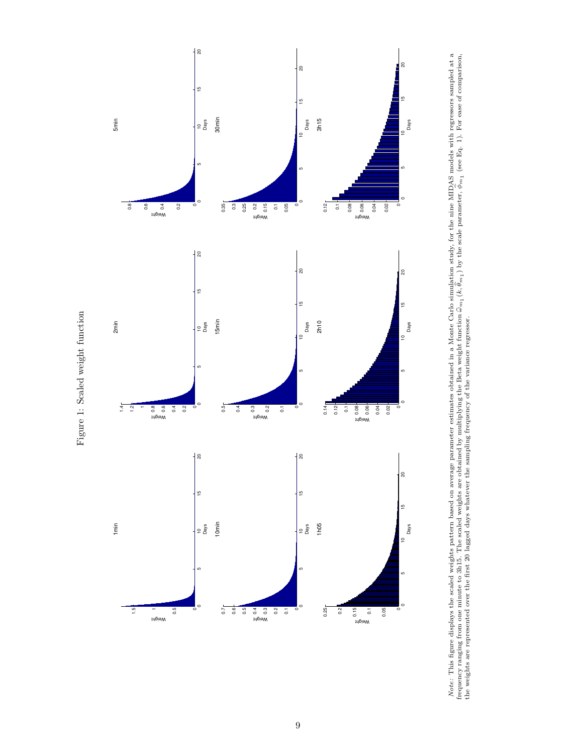

Note: This figure displays the scaled weights pattern based on average parameter estimates obtained in a Monte Carlo simulation study, for the nine MIDAS models with regressors sampled at a frequency ranging from one minute to 3h15. The scaled weights are obtained by multiplying the Beta weight function bωm1 (k,  $\widehat{\sigma}$  $\theta_{m_1}$  ) by the scale parameter,  $\hat{\theta}$  $\phi_{m_1}$  (see Eq. 1). For ease of comparison, the weights are represented over the first 20 lagged days whatever the sampling frequency of the variance regressor.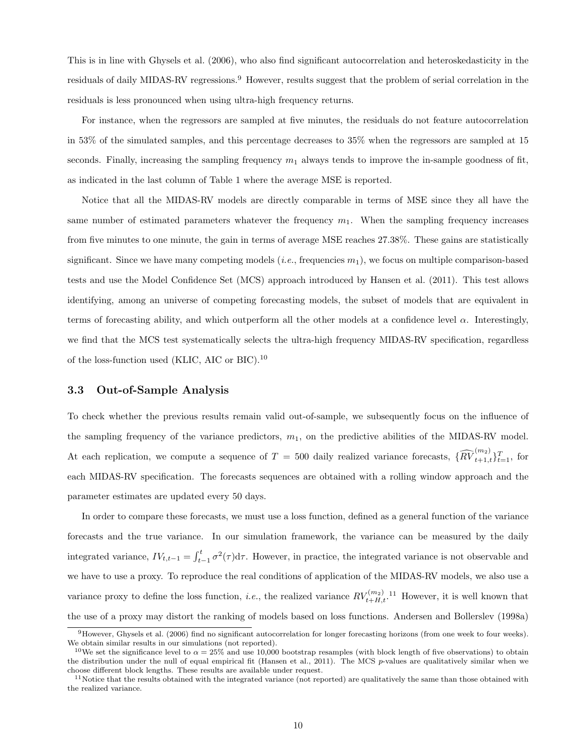This is in line with Ghysels et al. (2006), who also find significant autocorrelation and heteroskedasticity in the residuals of daily MIDAS-RV regressions.<sup>9</sup> However, results suggest that the problem of serial correlation in the residuals is less pronounced when using ultra-high frequency returns.

For instance, when the regressors are sampled at five minutes, the residuals do not feature autocorrelation in 53% of the simulated samples, and this percentage decreases to 35% when the regressors are sampled at 15 seconds. Finally, increasing the sampling frequency  $m_1$  always tends to improve the in-sample goodness of fit, as indicated in the last column of Table 1 where the average MSE is reported.

Notice that all the MIDAS-RV models are directly comparable in terms of MSE since they all have the same number of estimated parameters whatever the frequency  $m_1$ . When the sampling frequency increases from five minutes to one minute, the gain in terms of average MSE reaches 27.38%. These gains are statistically significant. Since we have many competing models (*i.e.*, frequencies  $m_1$ ), we focus on multiple comparison-based tests and use the Model Confidence Set (MCS) approach introduced by Hansen et al. (2011). This test allows identifying, among an universe of competing forecasting models, the subset of models that are equivalent in terms of forecasting ability, and which outperform all the other models at a confidence level  $\alpha$ . Interestingly, we find that the MCS test systematically selects the ultra-high frequency MIDAS-RV specification, regardless of the loss-function used (KLIC, AIC or BIC).<sup>10</sup>

#### 3.3 Out-of-Sample Analysis

To check whether the previous results remain valid out-of-sample, we subsequently focus on the influence of the sampling frequency of the variance predictors,  $m_1$ , on the predictive abilities of the MIDAS-RV model. At each replication, we compute a sequence of  $T = 500$  daily realized variance forecasts,  $\{\widehat{RV}_{t+1,t}^{(m_2)}\}_{t=1}^T$ , for each MIDAS-RV specification. The forecasts sequences are obtained with a rolling window approach and the parameter estimates are updated every 50 days.

In order to compare these forecasts, we must use a loss function, defined as a general function of the variance forecasts and the true variance. In our simulation framework, the variance can be measured by the daily integrated variance,  $IV_{t,t-1} = \int_{t-1}^{t} \sigma^2(\tau) d\tau$ . However, in practice, the integrated variance is not observable and we have to use a proxy. To reproduce the real conditions of application of the MIDAS-RV models, we also use a variance proxy to define the loss function, *i.e.*, the realized variance  $RV_{t+H,t}^{(m_2)}$ .<sup>11</sup> However, it is well known that the use of a proxy may distort the ranking of models based on loss functions. Andersen and Bollerslev (1998a)

<sup>9</sup>However, Ghysels et al. (2006) find no significant autocorrelation for longer forecasting horizons (from one week to four weeks). We obtain similar results in our simulations (not reported).

<sup>&</sup>lt;sup>10</sup>We set the significance level to  $\alpha = 25\%$  and use 10,000 bootstrap resamples (with block length of five observations) to obtain the distribution under the null of equal empirical fit (Hansen et al., 2011). The MCS p-values are qualitatively similar when we choose different block lengths. These results are available under request.

 $11$ Notice that the results obtained with the integrated variance (not reported) are qualitatively the same than those obtained with the realized variance.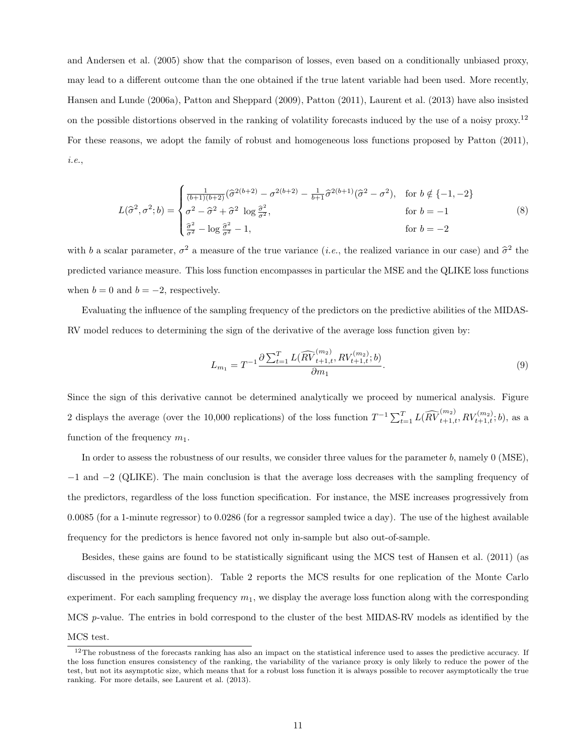and Andersen et al. (2005) show that the comparison of losses, even based on a conditionally unbiased proxy, may lead to a different outcome than the one obtained if the true latent variable had been used. More recently, Hansen and Lunde (2006a), Patton and Sheppard (2009), Patton (2011), Laurent et al. (2013) have also insisted on the possible distortions observed in the ranking of volatility forecasts induced by the use of a noisy proxy.<sup>12</sup> For these reasons, we adopt the family of robust and homogeneous loss functions proposed by Patton (2011), i.e.,

$$
L(\hat{\sigma}^2, \sigma^2; b) = \begin{cases} \frac{1}{(b+1)(b+2)} (\hat{\sigma}^{2(b+2)} - \sigma^{2(b+2)} - \frac{1}{b+1} \hat{\sigma}^{2(b+1)} (\hat{\sigma}^2 - \sigma^2), & \text{for } b \notin \{-1, -2\} \\ \sigma^2 - \hat{\sigma}^2 + \hat{\sigma}^2 \log \frac{\hat{\sigma}^2}{\sigma^2}, & \text{for } b = -1 \\ \frac{\hat{\sigma}^2}{\sigma^2} - \log \frac{\hat{\sigma}^2}{\sigma^2} - 1, & \text{for } b = -2 \end{cases}
$$
(8)

with b a scalar parameter,  $\sigma^2$  a measure of the true variance (*i.e.*, the realized variance in our case) and  $\hat{\sigma}^2$  the predicted variance measure. This loss function encompasses in particular the MSE and the QLIKE loss functions when  $b = 0$  and  $b = -2$ , respectively.

Evaluating the influence of the sampling frequency of the predictors on the predictive abilities of the MIDAS-RV model reduces to determining the sign of the derivative of the average loss function given by:

$$
L_{m_1} = T^{-1} \frac{\partial \sum_{t=1}^{T} L(\widehat{RV}_{t+1,t}^{(m_2)}, RV_{t+1,t}^{(m_2)}; b)}{\partial m_1}.
$$
\n(9)

Since the sign of this derivative cannot be determined analytically we proceed by numerical analysis. Figure 2 displays the average (over the 10,000 replications) of the loss function  $T^{-1} \sum_{t=1}^{T} L(\widehat{RV}_{t+1,t}^{(m_2)}, RV_{t+1,t}^{(m_2)}; b)$ , as a function of the frequency  $m_1$ .

In order to assess the robustness of our results, we consider three values for the parameter b, namely  $0$  (MSE), −1 and −2 (QLIKE). The main conclusion is that the average loss decreases with the sampling frequency of the predictors, regardless of the loss function specification. For instance, the MSE increases progressively from 0.0085 (for a 1-minute regressor) to 0.0286 (for a regressor sampled twice a day). The use of the highest available frequency for the predictors is hence favored not only in-sample but also out-of-sample.

Besides, these gains are found to be statistically significant using the MCS test of Hansen et al. (2011) (as discussed in the previous section). Table 2 reports the MCS results for one replication of the Monte Carlo experiment. For each sampling frequency  $m_1$ , we display the average loss function along with the corresponding MCS p-value. The entries in bold correspond to the cluster of the best MIDAS-RV models as identified by the

MCS test.

 $12$ The robustness of the forecasts ranking has also an impact on the statistical inference used to asses the predictive accuracy. If the loss function ensures consistency of the ranking, the variability of the variance proxy is only likely to reduce the power of the test, but not its asymptotic size, which means that for a robust loss function it is always possible to recover asymptotically the true ranking. For more details, see Laurent et al. (2013).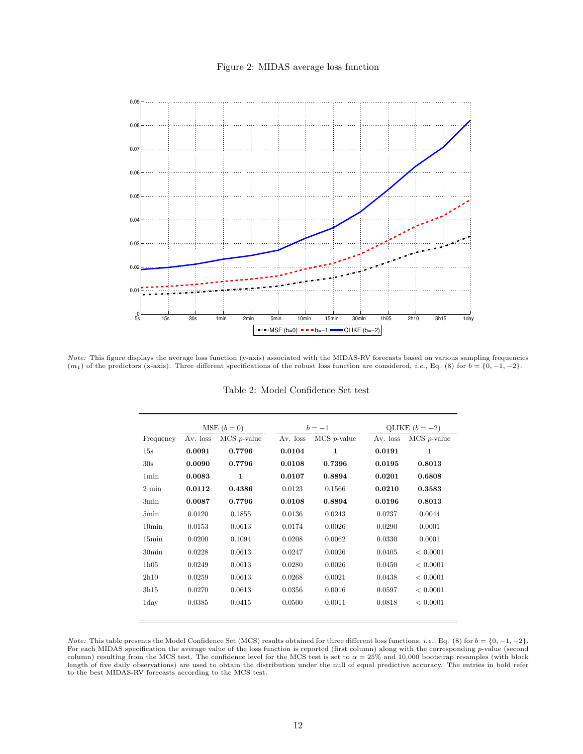#### Figure 2: MIDAS average loss function



Note: This figure displays the average loss function (y-axis) associated with the MIDAS-RV forecasts based on various sampling frequencies  $(m_1)$  of the predictors (x-axis). Three different specifications of the robust loss function are considered, *i.e.*, Eq. (8) for  $b = \{0, -1, -2\}$ .

|                   |          | $MSE(b=0)$            |          | $b=-1$                |            | QLIKE $(b = -2)$      |
|-------------------|----------|-----------------------|----------|-----------------------|------------|-----------------------|
| Frequency         | Av. loss | $MCS$ <i>p</i> -value | Av. loss | $MCS$ <i>p</i> -value | $Av.$ loss | $MCS$ <i>p</i> -value |
| 15s               | 0.0091   | 0.7796                | 0.0104   | $\mathbf{1}$          | 0.0191     | $\mathbf{1}$          |
| 30s               | 0.0090   | 0.7796                | 0.0108   | 0.7396                | 0.0195     | 0.8013                |
| 1 <sub>min</sub>  | 0.0083   | $\mathbf{1}$          | 0.0107   | 0.8894                | 0.0201     | 0.6808                |
| $2 \text{ min}$   | 0.0112   | 0.4386                | 0.0123   | 0.1566                | 0.0210     | 0.3583                |
| 3min              | 0.0087   | 0.7796                | 0.0108   | 0.8894                | 0.0196     | 0.8013                |
| 5min              | 0.0120   | 0.1855                | 0.0136   | 0.0243                | 0.0237     | 0.0044                |
| 10 <sub>min</sub> | 0.0153   | 0.0613                | 0.0174   | 0.0026                | 0.0290     | 0.0001                |
| 15min             | 0.0200   | 0.1094                | 0.0208   | 0.0062                | 0.0330     | 0.0001                |
| $30\text{min}$    | 0.0228   | 0.0613                | 0.0247   | 0.0026                | 0.0405     | < 0.0001              |
| 1h05              | 0.0249   | 0.0613                | 0.0280   | 0.0026                | 0.0450     | < 0.0001              |
| 2h10              | 0.0259   | 0.0613                | 0.0268   | 0.0021                | 0.0438     | < 0.0001              |
| 3h15              | 0.0270   | 0.0613                | 0.0356   | 0.0016                | 0.0597     | < 0.0001              |
| 1day              | 0.0385   | 0.0415                | 0.0500   | 0.0011                | 0.0818     | < 0.0001              |

Table 2: Model Confidence Set test

*Note:* This table presents the Model Confidence Set (MCS) results obtained for three different loss functions, *i.e.*, Eq. (8) for  $b = \{0, -1, -2\}$ . For each MIDAS specification the average value of the loss function is reported (first column) along with the corresponding p-value (second column) resulting from the MCS test. The confidence level for the MCS test is set to  $\alpha = 25\%$  and 10,000 bootstrap resamples (with block length of five daily observations) are used to obtain the distribution under the null of equal predictive accuracy. The entries in bold refer to the best MIDAS-RV forecasts according to the MCS test.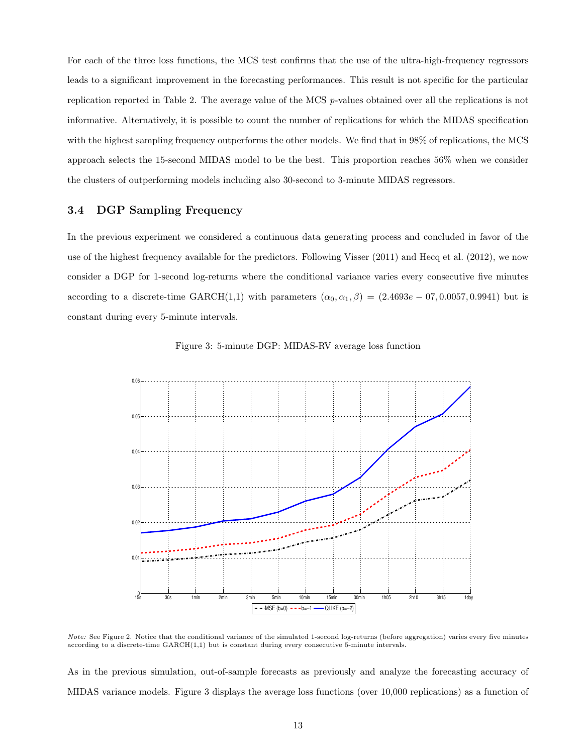For each of the three loss functions, the MCS test confirms that the use of the ultra-high-frequency regressors leads to a significant improvement in the forecasting performances. This result is not specific for the particular replication reported in Table 2. The average value of the MCS p-values obtained over all the replications is not informative. Alternatively, it is possible to count the number of replications for which the MIDAS specification with the highest sampling frequency outperforms the other models. We find that in 98% of replications, the MCS approach selects the 15-second MIDAS model to be the best. This proportion reaches 56% when we consider the clusters of outperforming models including also 30-second to 3-minute MIDAS regressors.

## 3.4 DGP Sampling Frequency

In the previous experiment we considered a continuous data generating process and concluded in favor of the use of the highest frequency available for the predictors. Following Visser (2011) and Hecq et al. (2012), we now consider a DGP for 1-second log-returns where the conditional variance varies every consecutive five minutes according to a discrete-time GARCH(1,1) with parameters  $(\alpha_0, \alpha_1, \beta) = (2.4693e - 07, 0.0057, 0.9941)$  but is constant during every 5-minute intervals.





Note: See Figure 2. Notice that the conditional variance of the simulated 1-second log-returns (before aggregation) varies every five minutes according to a discrete-time GARCH(1,1) but is constant during every consecutive 5-minute intervals.

As in the previous simulation, out-of-sample forecasts as previously and analyze the forecasting accuracy of MIDAS variance models. Figure 3 displays the average loss functions (over 10,000 replications) as a function of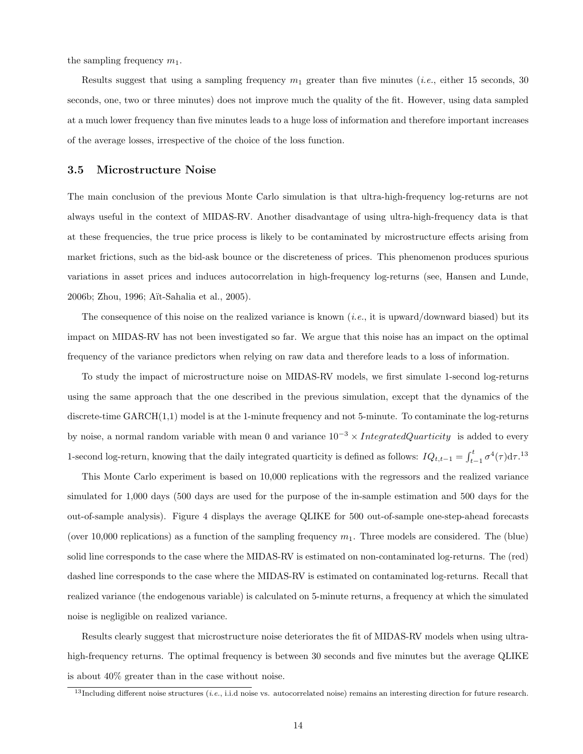the sampling frequency  $m_1$ .

Results suggest that using a sampling frequency  $m_1$  greater than five minutes (*i.e.*, either 15 seconds, 30 seconds, one, two or three minutes) does not improve much the quality of the fit. However, using data sampled at a much lower frequency than five minutes leads to a huge loss of information and therefore important increases of the average losses, irrespective of the choice of the loss function.

#### 3.5 Microstructure Noise

The main conclusion of the previous Monte Carlo simulation is that ultra-high-frequency log-returns are not always useful in the context of MIDAS-RV. Another disadvantage of using ultra-high-frequency data is that at these frequencies, the true price process is likely to be contaminated by microstructure effects arising from market frictions, such as the bid-ask bounce or the discreteness of prices. This phenomenon produces spurious variations in asset prices and induces autocorrelation in high-frequency log-returns (see, Hansen and Lunde, 2006b; Zhou, 1996; A¨ıt-Sahalia et al., 2005).

The consequence of this noise on the realized variance is known  $(i.e., it is upward/downward biased)$  but its impact on MIDAS-RV has not been investigated so far. We argue that this noise has an impact on the optimal frequency of the variance predictors when relying on raw data and therefore leads to a loss of information.

To study the impact of microstructure noise on MIDAS-RV models, we first simulate 1-second log-returns using the same approach that the one described in the previous simulation, except that the dynamics of the discrete-time GARCH(1,1) model is at the 1-minute frequency and not 5-minute. To contaminate the log-returns by noise, a normal random variable with mean 0 and variance  $10^{-3} \times IntegratedQuarticity$  is added to every 1-second log-return, knowing that the daily integrated quarticity is defined as follows:  $IQ_{t,t-1} = \int_{t-1}^{t} \sigma^4(\tau) d\tau$ .<sup>13</sup>

This Monte Carlo experiment is based on 10,000 replications with the regressors and the realized variance simulated for 1,000 days (500 days are used for the purpose of the in-sample estimation and 500 days for the out-of-sample analysis). Figure 4 displays the average QLIKE for 500 out-of-sample one-step-ahead forecasts (over 10,000 replications) as a function of the sampling frequency  $m_1$ . Three models are considered. The (blue) solid line corresponds to the case where the MIDAS-RV is estimated on non-contaminated log-returns. The (red) dashed line corresponds to the case where the MIDAS-RV is estimated on contaminated log-returns. Recall that realized variance (the endogenous variable) is calculated on 5-minute returns, a frequency at which the simulated noise is negligible on realized variance.

Results clearly suggest that microstructure noise deteriorates the fit of MIDAS-RV models when using ultrahigh-frequency returns. The optimal frequency is between 30 seconds and five minutes but the average QLIKE is about 40% greater than in the case without noise.

<sup>&</sup>lt;sup>13</sup>Including different noise structures (*i.e.*, i.i.d noise vs. autocorrelated noise) remains an interesting direction for future research.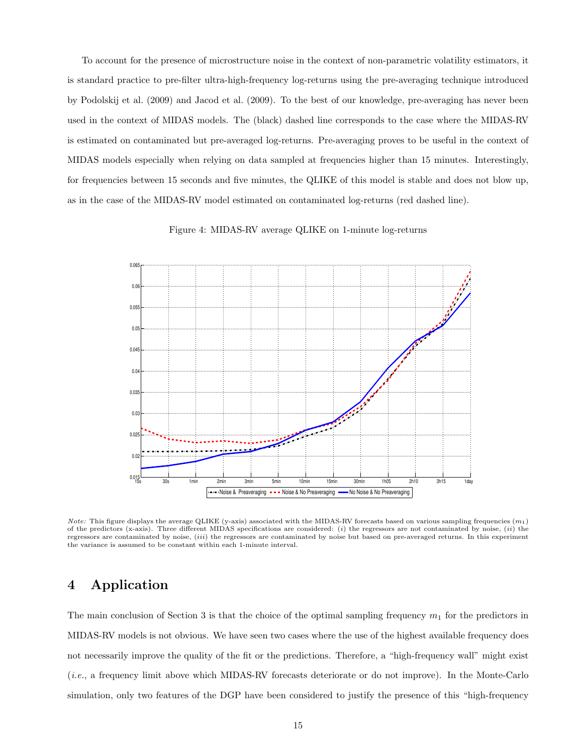To account for the presence of microstructure noise in the context of non-parametric volatility estimators, it is standard practice to pre-filter ultra-high-frequency log-returns using the pre-averaging technique introduced by Podolskij et al. (2009) and Jacod et al. (2009). To the best of our knowledge, pre-averaging has never been used in the context of MIDAS models. The (black) dashed line corresponds to the case where the MIDAS-RV is estimated on contaminated but pre-averaged log-returns. Pre-averaging proves to be useful in the context of MIDAS models especially when relying on data sampled at frequencies higher than 15 minutes. Interestingly, for frequencies between 15 seconds and five minutes, the QLIKE of this model is stable and does not blow up, as in the case of the MIDAS-RV model estimated on contaminated log-returns (red dashed line).

Figure 4: MIDAS-RV average QLIKE on 1-minute log-returns



*Note:* This figure displays the average QLIKE (y-axis) associated with the MIDAS-RV forecasts based on various sampling frequencies  $(m_1)$ of the predictors (x-axis). Three different MIDAS specifications are considered: (i) the regressors are not contaminated by noise, (ii) the regressors are contaminated by noise, (iii) the regressors are contaminated by noise but based on pre-averaged returns. In this experiment the variance is assumed to be constant within each 1-minute interval.

# 4 Application

The main conclusion of Section 3 is that the choice of the optimal sampling frequency  $m_1$  for the predictors in MIDAS-RV models is not obvious. We have seen two cases where the use of the highest available frequency does not necessarily improve the quality of the fit or the predictions. Therefore, a "high-frequency wall" might exist (i.e., a frequency limit above which MIDAS-RV forecasts deteriorate or do not improve). In the Monte-Carlo simulation, only two features of the DGP have been considered to justify the presence of this "high-frequency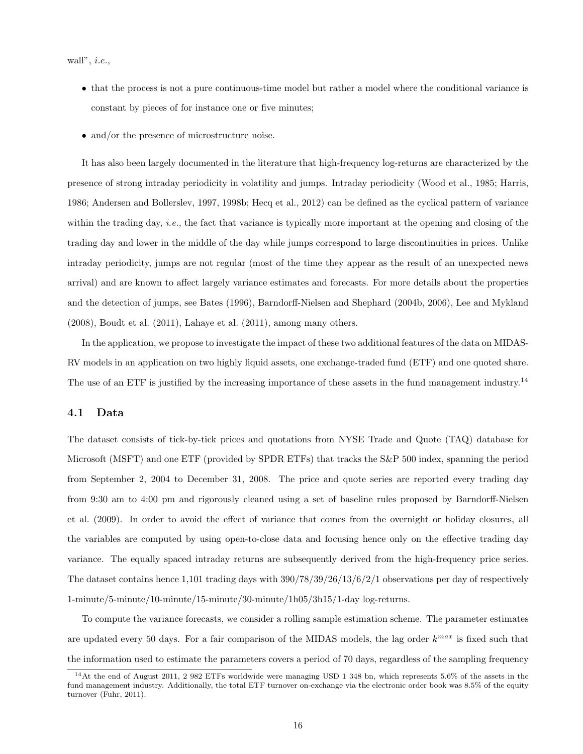wall",  $\it{i.e.},$ 

- that the process is not a pure continuous-time model but rather a model where the conditional variance is constant by pieces of for instance one or five minutes;
- and/or the presence of microstructure noise.

It has also been largely documented in the literature that high-frequency log-returns are characterized by the presence of strong intraday periodicity in volatility and jumps. Intraday periodicity (Wood et al., 1985; Harris, 1986; Andersen and Bollerslev, 1997, 1998b; Hecq et al., 2012) can be defined as the cyclical pattern of variance within the trading day, *i.e.*, the fact that variance is typically more important at the opening and closing of the trading day and lower in the middle of the day while jumps correspond to large discontinuities in prices. Unlike intraday periodicity, jumps are not regular (most of the time they appear as the result of an unexpected news arrival) and are known to affect largely variance estimates and forecasts. For more details about the properties and the detection of jumps, see Bates (1996), Barndorff-Nielsen and Shephard (2004b, 2006), Lee and Mykland (2008), Boudt et al. (2011), Lahaye et al. (2011), among many others.

In the application, we propose to investigate the impact of these two additional features of the data on MIDAS-RV models in an application on two highly liquid assets, one exchange-traded fund (ETF) and one quoted share. The use of an ETF is justified by the increasing importance of these assets in the fund management industry.<sup>14</sup>

#### 4.1 Data

The dataset consists of tick-by-tick prices and quotations from NYSE Trade and Quote (TAQ) database for Microsoft (MSFT) and one ETF (provided by SPDR ETFs) that tracks the S&P 500 index, spanning the period from September 2, 2004 to December 31, 2008. The price and quote series are reported every trading day from 9:30 am to 4:00 pm and rigorously cleaned using a set of baseline rules proposed by Barndorff-Nielsen et al. (2009). In order to avoid the effect of variance that comes from the overnight or holiday closures, all the variables are computed by using open-to-close data and focusing hence only on the effective trading day variance. The equally spaced intraday returns are subsequently derived from the high-frequency price series. The dataset contains hence 1,101 trading days with 390/78/39/26/13/6/2/1 observations per day of respectively 1-minute/5-minute/10-minute/15-minute/30-minute/1h05/3h15/1-day log-returns.

To compute the variance forecasts, we consider a rolling sample estimation scheme. The parameter estimates are updated every 50 days. For a fair comparison of the MIDAS models, the lag order  $k^{max}$  is fixed such that the information used to estimate the parameters covers a period of 70 days, regardless of the sampling frequency

<sup>14</sup>At the end of August 2011, 2 982 ETFs worldwide were managing USD 1 348 bn, which represents 5.6% of the assets in the fund management industry. Additionally, the total ETF turnover on-exchange via the electronic order book was 8.5% of the equity turnover (Fuhr, 2011).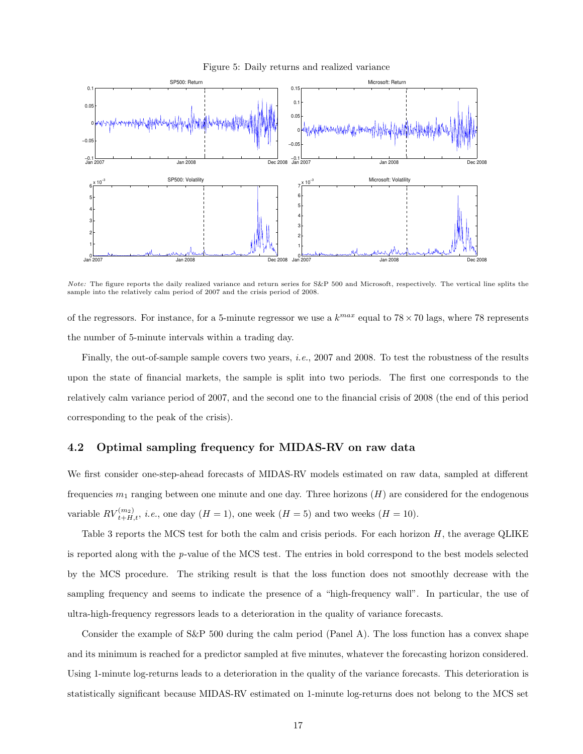

−0.05 0₩

> $0 -$ 1 F 2F 3F 4 F 5F 6

0.05  $\overline{0}$ .

Figure 5: Daily returns and realized variance

Note: The figure reports the daily realized variance and return series for S&P 500 and Microsoft, respectively. The vertical line splits the sample into the relatively calm period of 2007 and the crisis period of 2008.

 $0 -$ 1 F 2F 3F 4F

Jan 2007 Jan 2008 Dec 2008

of the regressors. For instance, for a 5-minute regressor we use a  $k^{max}$  equal to  $78 \times 70$  lags, where 78 represents the number of 5-minute intervals within a trading day.

Finally, the out-of-sample sample covers two years, i.e., 2007 and 2008. To test the robustness of the results upon the state of financial markets, the sample is split into two periods. The first one corresponds to the relatively calm variance period of 2007, and the second one to the financial crisis of 2008 (the end of this period corresponding to the peak of the crisis).

#### 4.2 Optimal sampling frequency for MIDAS-RV on raw data

Jan 2007 Jan 2008 Dec 2008

We first consider one-step-ahead forecasts of MIDAS-RV models estimated on raw data, sampled at different frequencies  $m_1$  ranging between one minute and one day. Three horizons  $(H)$  are considered for the endogenous variable  $RV_{t+H,t}^{(m_2)}$ , *i.e.*, one day  $(H = 1)$ , one week  $(H = 5)$  and two weeks  $(H = 10)$ .

Table 3 reports the MCS test for both the calm and crisis periods. For each horizon H, the average QLIKE is reported along with the p-value of the MCS test. The entries in bold correspond to the best models selected by the MCS procedure. The striking result is that the loss function does not smoothly decrease with the sampling frequency and seems to indicate the presence of a "high-frequency wall". In particular, the use of ultra-high-frequency regressors leads to a deterioration in the quality of variance forecasts.

Consider the example of S&P 500 during the calm period (Panel A). The loss function has a convex shape and its minimum is reached for a predictor sampled at five minutes, whatever the forecasting horizon considered. Using 1-minute log-returns leads to a deterioration in the quality of the variance forecasts. This deterioration is statistically significant because MIDAS-RV estimated on 1-minute log-returns does not belong to the MCS set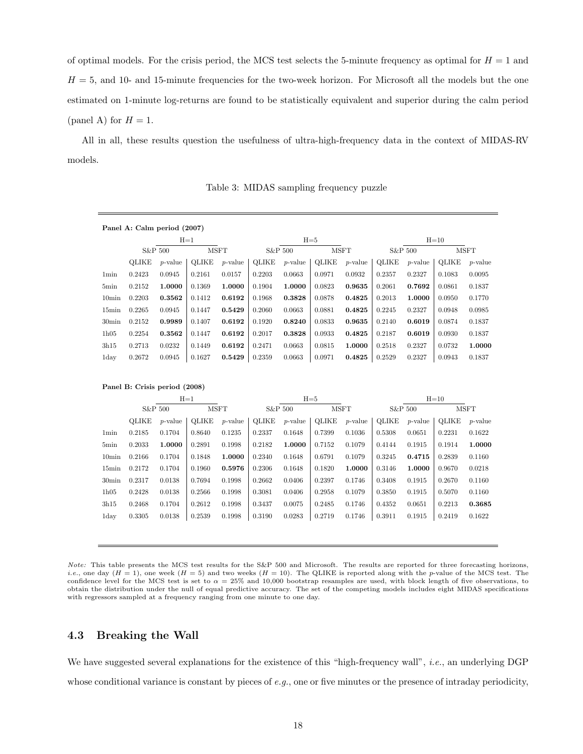of optimal models. For the crisis period, the MCS test selects the 5-minute frequency as optimal for  $H = 1$  and  $H = 5$ , and 10- and 15-minute frequencies for the two-week horizon. For Microsoft all the models but the one estimated on 1-minute log-returns are found to be statistically equivalent and superior during the calm period (panel A) for  $H = 1$ .

All in all, these results question the usefulness of ultra-high-frequency data in the context of MIDAS-RV models.

|                   |        | Panel A: Calm period (2007) |        |             |         |            |             |            |         |            |             |            |
|-------------------|--------|-----------------------------|--------|-------------|---------|------------|-------------|------------|---------|------------|-------------|------------|
|                   |        |                             | $H=1$  |             |         |            | $H = 5$     |            |         |            | $H=10$      |            |
|                   |        | S&P 500                     |        | <b>MSFT</b> | S&P 500 |            | <b>MSFT</b> |            | S&P 500 |            | <b>MSFT</b> |            |
|                   | OLIKE  | $p$ -value                  | OLIKE  | $p$ -value  | OLIKE   | $p$ -value | OLIKE       | $p$ -value | OLIKE   | $p$ -value | OLIKE       | $p$ -value |
| 1 <sub>min</sub>  | 0.2423 | 0.0945                      | 0.2161 | 0.0157      | 0.2203  | 0.0663     | 0.0971      | 0.0932     | 0.2357  | 0.2327     | 0.1083      | 0.0095     |
| 5 <sub>min</sub>  | 0.2152 | 1.0000                      | 0.1369 | 1.0000      | 0.1904  | 1.0000     | 0.0823      | 0.9635     | 0.2061  | 0.7692     | 0.0861      | 0.1837     |
| 10 <sub>min</sub> | 0.2203 | 0.3562                      | 0.1412 | 0.6192      | 0.1968  | 0.3828     | 0.0878      | 0.4825     | 0.2013  | 1.0000     | 0.0950      | 0.1770     |
| $15\text{min}$    | 0.2265 | 0.0945                      | 0.1447 | 0.5429      | 0.2060  | 0.0663     | 0.0881      | 0.4825     | 0.2245  | 0.2327     | 0.0948      | 0.0985     |
| $30\text{min}$    | 0.2152 | 0.9989                      | 0.1407 | 0.6192      | 0.1920  | 0.8240     | 0.0833      | 0.9635     | 0.2140  | 0.6019     | 0.0874      | 0.1837     |
| 1h05              | 0.2254 | 0.3562                      | 0.1447 | 0.6192      | 0.2017  | 0.3828     | 0.0933      | 0.4825     | 0.2187  | 0.6019     | 0.0930      | 0.1837     |
| 3h15              | 0.2713 | 0.0232                      | 0.1449 | 0.6192      | 0.2471  | 0.0663     | 0.0815      | 1.0000     | 0.2518  | 0.2327     | 0.0732      | 1.0000     |
| 1 <sub>day</sub>  | 0.2672 | 0.0945                      | 0.1627 | 0.5429      | 0.2359  | 0.0663     | 0.0971      | 0.4825     | 0.2529  | 0.2327     | 0.0943      | 0.1837     |

Table 3: MIDAS sampling frequency puzzle

|                  |        |                 | $H=1$       |            |        |            | $H = 5$     |            | $H=10$       |            |        |                 |  |
|------------------|--------|-----------------|-------------|------------|--------|------------|-------------|------------|--------------|------------|--------|-----------------|--|
|                  |        | S&P 500         | <b>MSFT</b> |            |        | S&P 500    | <b>MSFT</b> |            | S&P 500      |            |        | <b>MSFT</b>     |  |
|                  | OLIKE  | <i>p</i> -value | OLIKE       | $p$ -value | OLIKE  | $p$ -value | OLIKE       | $p$ -value | <b>OLIKE</b> | $p$ -value | OLIKE  | <i>p</i> -value |  |
| 1 <sub>min</sub> | 0.2185 | 0.1704          | 0.8640      | 0.1235     | 0.2337 | 0.1648     | 0.7399      | 0.1036     | 0.5308       | 0.0651     | 0.2231 | 0.1622          |  |
| 5min             | 0.2033 | 1.0000          | 0.2891      | 0.1998     | 0.2182 | 1.0000     | 0.7152      | 0.1079     | 0.4144       | 0.1915     | 0.1914 | 1.0000          |  |
| $10\text{min}$   | 0.2166 | 0.1704          | 0.1848      | 1.0000     | 0.2340 | 0.1648     | 0.6791      | 0.1079     | 0.3245       | 0.4715     | 0.2839 | 0.1160          |  |
| $15\text{min}$   | 0.2172 | 0.1704          | 0.1960      | 0.5976     | 0.2306 | 0.1648     | 0.1820      | 1.0000     | 0.3146       | 1.0000     | 0.9670 | 0.0218          |  |
| $30\text{min}$   | 0.2317 | 0.0138          | 0.7694      | 0.1998     | 0.2662 | 0.0406     | 0.2397      | 0.1746     | 0.3408       | 0.1915     | 0.2670 | 0.1160          |  |
| 1h05             | 0.2428 | 0.0138          | 0.2566      | 0.1998     | 0.3081 | 0.0406     | 0.2958      | 0.1079     | 0.3850       | 0.1915     | 0.5070 | 0.1160          |  |
| 3h15             | 0.2468 | 0.1704          | 0.2612      | 0.1998     | 0.3437 | 0.0075     | 0.2485      | 0.1746     | 0.4352       | 0.0651     | 0.2213 | 0.3685          |  |
| 1 <sub>day</sub> | 0.3305 | 0.0138          | 0.2539      | 0.1998     | 0.3190 | 0.0283     | 0.2719      | 0.1746     | 0.3911       | 0.1915     | 0.2419 | 0.1622          |  |
|                  |        |                 |             |            |        |            |             |            |              |            |        |                 |  |

Panel B: Crisis period (2008)

Note: This table presents the MCS test results for the S&P 500 and Microsoft. The results are reported for three forecasting horizons, *i.e.*, one day  $(H = 1)$ , one week  $(H = 5)$  and two weeks  $(H = 10)$ . The QLIKE is reported along with the p-value of the MCS test. The confidence level for the MCS test is set to  $\alpha = 25\%$  and 10,000 bootstrap resamples are used, with block length of five observations, to obtain the distribution under the null of equal predictive accuracy. The set of the competing models includes eight MIDAS specifications with regressors sampled at a frequency ranging from one minute to one day.

#### 4.3 Breaking the Wall

We have suggested several explanations for the existence of this "high-frequency wall", *i.e.*, an underlying DGP whose conditional variance is constant by pieces of  $e.g.,$  one or five minutes or the presence of intraday periodicity,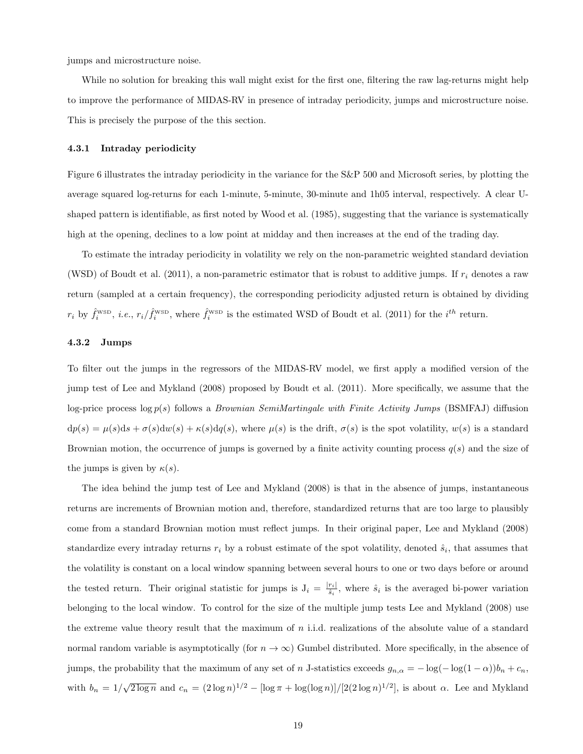jumps and microstructure noise.

While no solution for breaking this wall might exist for the first one, filtering the raw lag-returns might help to improve the performance of MIDAS-RV in presence of intraday periodicity, jumps and microstructure noise. This is precisely the purpose of the this section.

#### 4.3.1 Intraday periodicity

Figure 6 illustrates the intraday periodicity in the variance for the S&P 500 and Microsoft series, by plotting the average squared log-returns for each 1-minute, 5-minute, 30-minute and 1h05 interval, respectively. A clear Ushaped pattern is identifiable, as first noted by Wood et al. (1985), suggesting that the variance is systematically high at the opening, declines to a low point at midday and then increases at the end of the trading day.

To estimate the intraday periodicity in volatility we rely on the non-parametric weighted standard deviation (WSD) of Boudt et al. (2011), a non-parametric estimator that is robust to additive jumps. If  $r_i$  denotes a raw return (sampled at a certain frequency), the corresponding periodicity adjusted return is obtained by dividing  $r_i$  by  $\hat{f}_i^{\text{wsp}}$ , *i.e.*,  $r_i/\hat{f}_i^{\text{wsp}}$ , where  $\hat{f}_i^{\text{wsp}}$  is the estimated WSD of Boudt et al. (2011) for the *i*<sup>th</sup> return.

#### 4.3.2 Jumps

To filter out the jumps in the regressors of the MIDAS-RV model, we first apply a modified version of the jump test of Lee and Mykland (2008) proposed by Boudt et al. (2011). More specifically, we assume that the log-price process log  $p(s)$  follows a *Brownian SemiMartingale with Finite Activity Jumps* (BSMFAJ) diffusion  $dp(s) = \mu(s)ds + \sigma(s)dw(s) + \kappa(s)dq(s)$ , where  $\mu(s)$  is the drift,  $\sigma(s)$  is the spot volatility,  $w(s)$  is a standard Brownian motion, the occurrence of jumps is governed by a finite activity counting process  $q(s)$  and the size of the jumps is given by  $\kappa(s)$ .

The idea behind the jump test of Lee and Mykland (2008) is that in the absence of jumps, instantaneous returns are increments of Brownian motion and, therefore, standardized returns that are too large to plausibly come from a standard Brownian motion must reflect jumps. In their original paper, Lee and Mykland (2008) standardize every intraday returns  $r_i$  by a robust estimate of the spot volatility, denoted  $\hat{s}_i$ , that assumes that the volatility is constant on a local window spanning between several hours to one or two days before or around the tested return. Their original statistic for jumps is  $J_i = \frac{|r_i|}{\hat{s}_i}$  $\frac{r_{i}}{\hat{s}_{i}}$ , where  $\hat{s}_{i}$  is the averaged bi-power variation belonging to the local window. To control for the size of the multiple jump tests Lee and Mykland (2008) use the extreme value theory result that the maximum of n i.i.d. realizations of the absolute value of a standard normal random variable is asymptotically (for  $n \to \infty$ ) Gumbel distributed. More specifically, in the absence of jumps, the probability that the maximum of any set of n J-statistics exceeds  $g_{n,\alpha} = -\log(-\log(1-\alpha))b_n + c_n$ , with  $b_n = 1/\sqrt{2 \log n}$  and  $c_n = (2 \log n)^{1/2} - [\log \pi + \log(\log n)]/[2(2 \log n)^{1/2}]$ , is about  $\alpha$ . Lee and Mykland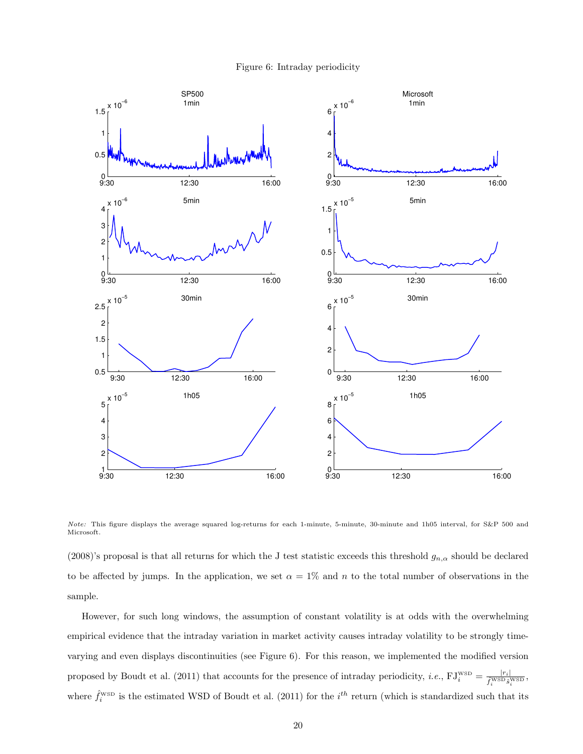



Note: This figure displays the average squared log-returns for each 1-minute, 5-minute, 30-minute and 1h05 interval, for S&P 500 and Microsoft.

(2008)'s proposal is that all returns for which the J test statistic exceeds this threshold  $g_{n,\alpha}$  should be declared to be affected by jumps. In the application, we set  $\alpha = 1\%$  and n to the total number of observations in the sample.

However, for such long windows, the assumption of constant volatility is at odds with the overwhelming empirical evidence that the intraday variation in market activity causes intraday volatility to be strongly timevarying and even displays discontinuities (see Figure 6). For this reason, we implemented the modified version proposed by Boudt et al. (2011) that accounts for the presence of intraday periodicity, *i.e.*,  $FJ_i^{WSD} = \frac{|r_i|}{\hat{f}_i^{WSD} \hat{s}_i^{WSD}}$ , where  $\hat{f}_i^{\text{wsp}}$  is the estimated WSD of Boudt et al. (2011) for the  $i^{th}$  return (which is standardized such that its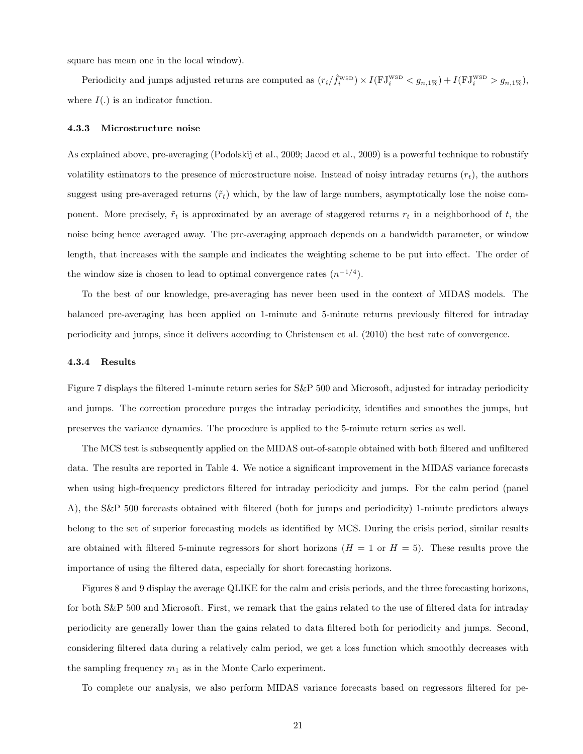square has mean one in the local window).

Periodicity and jumps adjusted returns are computed as  $(r_i/\hat{f}_i^{\text{wsp}}) \times I(FJ_i^{\text{wsp}} < g_{n,1\%}) + I(FJ_i^{\text{wsp}} > g_{n,1\%})$ , where  $I(.)$  is an indicator function.

#### 4.3.3 Microstructure noise

As explained above, pre-averaging (Podolskij et al., 2009; Jacod et al., 2009) is a powerful technique to robustify volatility estimators to the presence of microstructure noise. Instead of noisy intraday returns  $(r_t)$ , the authors suggest using pre-averaged returns ( $\tilde{r}_t$ ) which, by the law of large numbers, asymptotically lose the noise component. More precisely,  $\tilde{r}_t$  is approximated by an average of staggered returns  $r_t$  in a neighborhood of t, the noise being hence averaged away. The pre-averaging approach depends on a bandwidth parameter, or window length, that increases with the sample and indicates the weighting scheme to be put into effect. The order of the window size is chosen to lead to optimal convergence rates  $(n^{-1/4})$ .

To the best of our knowledge, pre-averaging has never been used in the context of MIDAS models. The balanced pre-averaging has been applied on 1-minute and 5-minute returns previously filtered for intraday periodicity and jumps, since it delivers according to Christensen et al. (2010) the best rate of convergence.

#### 4.3.4 Results

Figure 7 displays the filtered 1-minute return series for S&P 500 and Microsoft, adjusted for intraday periodicity and jumps. The correction procedure purges the intraday periodicity, identifies and smoothes the jumps, but preserves the variance dynamics. The procedure is applied to the 5-minute return series as well.

The MCS test is subsequently applied on the MIDAS out-of-sample obtained with both filtered and unfiltered data. The results are reported in Table 4. We notice a significant improvement in the MIDAS variance forecasts when using high-frequency predictors filtered for intraday periodicity and jumps. For the calm period (panel A), the S&P 500 forecasts obtained with filtered (both for jumps and periodicity) 1-minute predictors always belong to the set of superior forecasting models as identified by MCS. During the crisis period, similar results are obtained with filtered 5-minute regressors for short horizons  $(H = 1 \text{ or } H = 5)$ . These results prove the importance of using the filtered data, especially for short forecasting horizons.

Figures 8 and 9 display the average QLIKE for the calm and crisis periods, and the three forecasting horizons, for both S&P 500 and Microsoft. First, we remark that the gains related to the use of filtered data for intraday periodicity are generally lower than the gains related to data filtered both for periodicity and jumps. Second, considering filtered data during a relatively calm period, we get a loss function which smoothly decreases with the sampling frequency  $m_1$  as in the Monte Carlo experiment.

To complete our analysis, we also perform MIDAS variance forecasts based on regressors filtered for pe-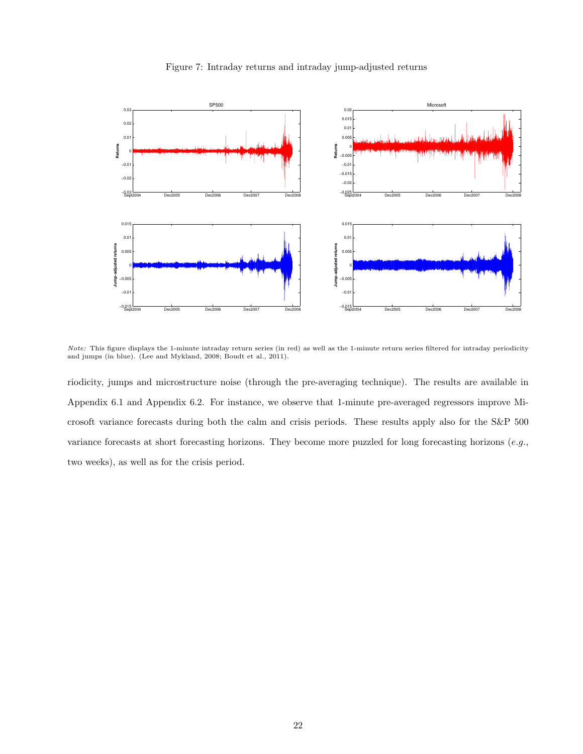

Figure 7: Intraday returns and intraday jump-adjusted returns

Note: This figure displays the 1-minute intraday return series (in red) as well as the 1-minute return series filtered for intraday periodicity and jumps (in blue). (Lee and Mykland, 2008; Boudt et al., 2011).

riodicity, jumps and microstructure noise (through the pre-averaging technique). The results are available in Appendix 6.1 and Appendix 6.2. For instance, we observe that 1-minute pre-averaged regressors improve Microsoft variance forecasts during both the calm and crisis periods. These results apply also for the S&P 500 variance forecasts at short forecasting horizons. They become more puzzled for long forecasting horizons (e.g., two weeks), as well as for the crisis period.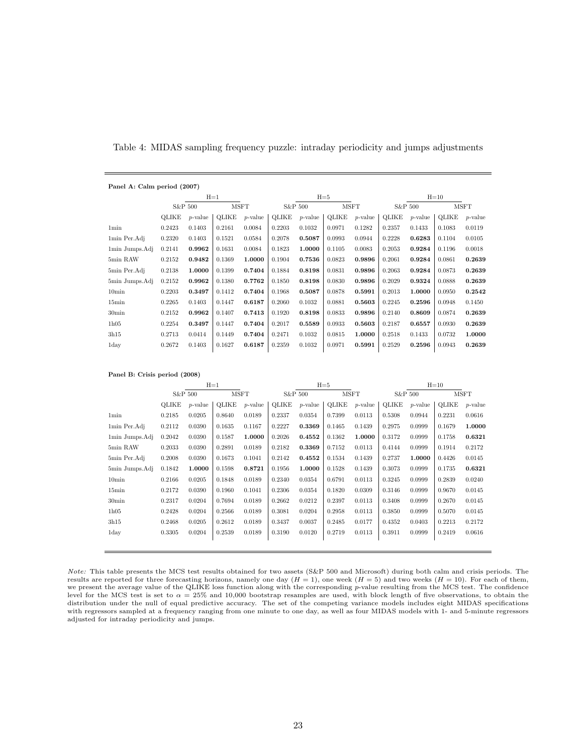| Panel A: Calm period (2007) |        |            |        |             |        |            |              |             |        |            |        |            |
|-----------------------------|--------|------------|--------|-------------|--------|------------|--------------|-------------|--------|------------|--------|------------|
|                             |        |            | $H=1$  |             |        |            | $H = 5$      |             |        |            | $H=10$ |            |
|                             |        | S&P 500    |        | <b>MSFT</b> |        | S&P 500    |              | <b>MSFT</b> |        | S&P 500    |        | MSFT       |
|                             | OLIKE  | $p$ -value | OLIKE  | $p$ -value  | OLIKE  | $p$ -value | <b>OLIKE</b> | $p$ -value  | OLIKE  | $p$ -value | OLIKE  | $p$ -value |
| 1 <sub>min</sub>            | 0.2423 | 0.1403     | 0.2161 | 0.0084      | 0.2203 | 0.1032     | 0.0971       | 0.1282      | 0.2357 | 0.1433     | 0.1083 | 0.0119     |
| 1min Per.Adj                | 0.2320 | 0.1403     | 0.1521 | 0.0584      | 0.2078 | 0.5087     | 0.0993       | 0.0944      | 0.2228 | 0.6283     | 0.1104 | 0.0105     |
| 1min Jumps.Adj              | 0.2141 | 0.9962     | 0.1631 | 0.0084      | 0.1823 | 1.0000     | 0.1105       | 0.0083      | 0.2053 | 0.9284     | 0.1196 | 0.0018     |
| 5min RAW                    | 0.2152 | 0.9482     | 0.1369 | 1.0000      | 0.1904 | 0.7536     | 0.0823       | 0.9896      | 0.2061 | 0.9284     | 0.0861 | 0.2639     |
| 5min Per.Adj                | 0.2138 | 1.0000     | 0.1399 | 0.7404      | 0.1884 | 0.8198     | 0.0831       | 0.9896      | 0.2063 | 0.9284     | 0.0873 | 0.2639     |
| 5min Jumps.Adj              | 0.2152 | 0.9962     | 0.1380 | 0.7762      | 0.1850 | 0.8198     | 0.0830       | 0.9896      | 0.2029 | 0.9324     | 0.0888 | 0.2639     |
| 10 <sub>min</sub>           | 0.2203 | 0.3497     | 0.1412 | 0.7404      | 0.1968 | 0.5087     | 0.0878       | 0.5991      | 0.2013 | 1.0000     | 0.0950 | 0.2542     |
| 15min                       | 0.2265 | 0.1403     | 0.1447 | 0.6187      | 0.2060 | 0.1032     | 0.0881       | 0.5603      | 0.2245 | 0.2596     | 0.0948 | 0.1450     |
| 30 <sub>min</sub>           | 0.2152 | 0.9962     | 0.1407 | 0.7413      | 0.1920 | 0.8198     | 0.0833       | 0.9896      | 0.2140 | 0.8609     | 0.0874 | 0.2639     |
| 1h05                        | 0.2254 | 0.3497     | 0.1447 | 0.7404      | 0.2017 | 0.5589     | 0.0933       | 0.5603      | 0.2187 | 0.6557     | 0.0930 | 0.2639     |
| 3h15                        | 0.2713 | 0.0414     | 0.1449 | 0.7404      | 0.2471 | 0.1032     | 0.0815       | 1.0000      | 0.2518 | 0.1433     | 0.0732 | 1.0000     |
| 1day                        | 0.2672 | 0.1403     | 0.1627 | 0.6187      | 0.2359 | 0.1032     | 0.0971       | 0.5991      | 0.2529 | 0.2596     | 0.0943 | 0.2639     |

Table 4: MIDAS sampling frequency puzzle: intraday periodicity and jumps adjustments

| Panel B: Crisis period (2008) |  |  |
|-------------------------------|--|--|
|                               |  |  |

|                   |         |            | $H=1$        |            |         |            | $H = 5$     |            | $H=10$  |            |        |             |  |
|-------------------|---------|------------|--------------|------------|---------|------------|-------------|------------|---------|------------|--------|-------------|--|
|                   | S&P 500 |            | <b>MSFT</b>  |            | S&P 500 |            | <b>MSFT</b> |            | S&P 500 |            |        | <b>MSFT</b> |  |
|                   | OLIKE   | $p$ -value | <b>OLIKE</b> | $p$ -value | OLIKE   | $p$ -value | OLIKE       | $p$ -value | OLIKE   | $p$ -value | OLIKE  | $p$ -value  |  |
| 1 <sub>min</sub>  | 0.2185  | 0.0205     | 0.8640       | 0.0189     | 0.2337  | 0.0354     | 0.7399      | 0.0113     | 0.5308  | 0.0944     | 0.2231 | 0.0616      |  |
| 1min Per.Adj      | 0.2112  | 0.0390     | 0.1635       | 0.1167     | 0.2227  | 0.3369     | 0.1465      | 0.1439     | 0.2975  | 0.0999     | 0.1679 | 1.0000      |  |
| 1min Jumps.Adj    | 0.2042  | 0.0390     | 0.1587       | 1.0000     | 0.2026  | 0.4552     | 0.1362      | 1.0000     | 0.3172  | 0.0999     | 0.1758 | 0.6321      |  |
| 5min RAW          | 0.2033  | 0.0390     | 0.2891       | 0.0189     | 0.2182  | 0.3369     | 0.7152      | 0.0113     | 0.4144  | 0.0999     | 0.1914 | 0.2172      |  |
| 5min Per.Adj      | 0.2008  | 0.0390     | 0.1673       | 0.1041     | 0.2142  | 0.4552     | 0.1534      | 0.1439     | 0.2737  | 1.0000     | 0.4426 | 0.0145      |  |
| 5min Jumps.Adj    | 0.1842  | 1.0000     | 0.1598       | 0.8721     | 0.1956  | 1.0000     | 0.1528      | 0.1439     | 0.3073  | 0.0999     | 0.1735 | 0.6321      |  |
| 10 <sub>min</sub> | 0.2166  | 0.0205     | 0.1848       | 0.0189     | 0.2340  | 0.0354     | 0.6791      | 0.0113     | 0.3245  | 0.0999     | 0.2839 | 0.0240      |  |
| $15\text{min}$    | 0.2172  | 0.0390     | 0.1960       | 0.1041     | 0.2306  | 0.0354     | 0.1820      | 0.0309     | 0.3146  | 0.0999     | 0.9670 | 0.0145      |  |
| $30\text{min}$    | 0.2317  | 0.0204     | 0.7694       | 0.0189     | 0.2662  | 0.0212     | 0.2397      | 0.0113     | 0.3408  | 0.0999     | 0.2670 | 0.0145      |  |
| 1h05              | 0.2428  | 0.0204     | 0.2566       | 0.0189     | 0.3081  | 0.0204     | 0.2958      | 0.0113     | 0.3850  | 0.0999     | 0.5070 | 0.0145      |  |
| 3h15              | 0.2468  | 0.0205     | 0.2612       | 0.0189     | 0.3437  | 0.0037     | 0.2485      | 0.0177     | 0.4352  | 0.0403     | 0.2213 | 0.2172      |  |
| 1day              | 0.3305  | 0.0204     | 0.2539       | 0.0189     | 0.3190  | 0.0120     | 0.2719      | 0.0113     | 0.3911  | 0.0999     | 0.2419 | 0.0616      |  |

Note: This table presents the MCS test results obtained for two assets (S&P 500 and Microsoft) during both calm and crisis periods. The results are reported for three forecasting horizons, namely one day  $(H = 1)$ , one week  $(H = 5)$  and two weeks  $(H = 10)$ . For each of them, we present the average value of the QLIKE loss function along with the corresponding p-value resulting from the MCS test. The confidence level for the MCS test is set to  $\alpha = 25\%$  and 10,000 bootstrap resamples are used, with block length of five observations, to obtain the distribution under the null of equal predictive accuracy. The set of the competing variance models includes eight MIDAS specifications with regressors sampled at a frequency ranging from one minute to one day, as well as four MIDAS models with 1- and 5-minute regressors adjusted for intraday periodicity and jumps.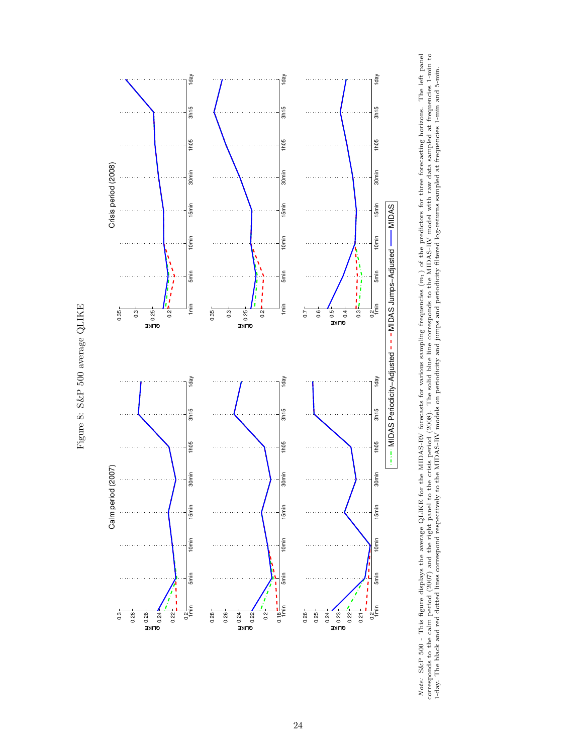



Note: S&P 500 - This figure displays the average QLIKE for the MIDAS-RV forecasts for various sampling frequencies  $(m_1)$  of the predictors for three forecasting horizons. The left panel corresponds to the calm period (20 Note: S&P 500 - This figure displays the average QLIKE for the MIDAS-RV forecasts for various sampling frequencies (m1) of the predictors for three forecasting horizons. The left panel corresponds to the calm period (2007) and the right panel to the crisis period (2008). The solid blue line corresponds to the MIDAS-RV model with raw data sampled at frequencies 1-min to 1-day. The black and red dotted lines correspond respectively to the MIDAS-RV models on periodicity and jumps and periodicity filtered log-returns sampled at frequencies 1-min and 5-min.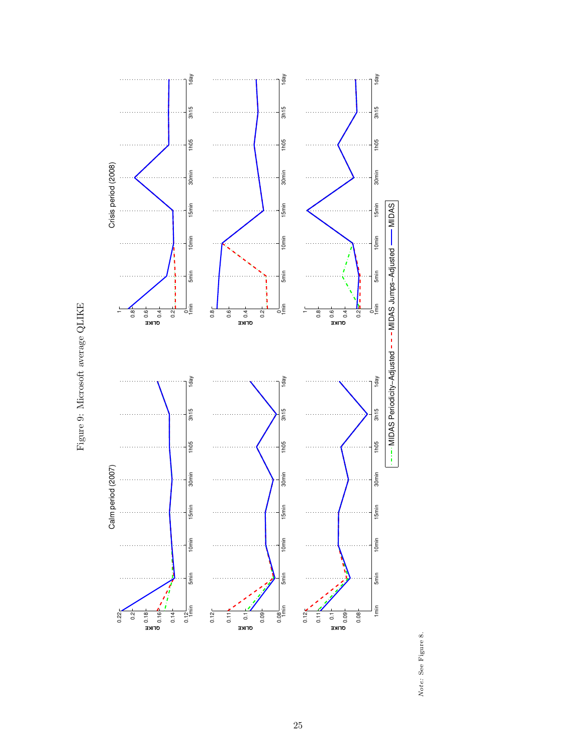



Note: See Figure 8. Note: See Figure 8.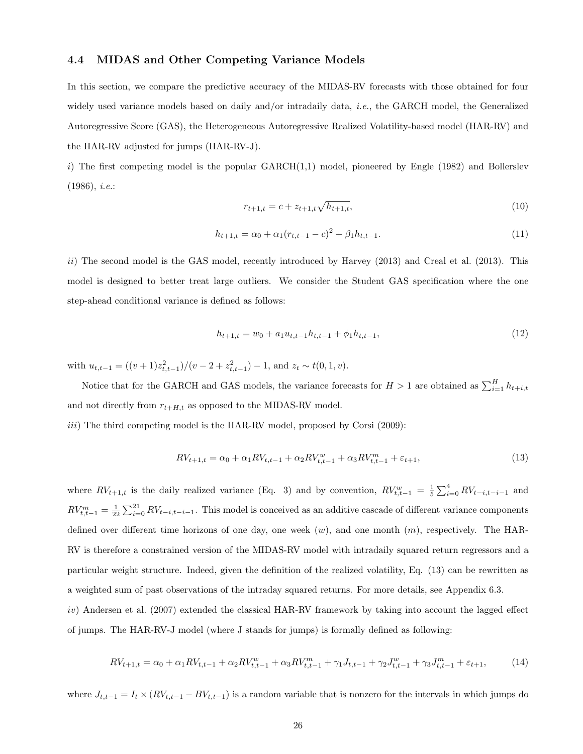## 4.4 MIDAS and Other Competing Variance Models

In this section, we compare the predictive accuracy of the MIDAS-RV forecasts with those obtained for four widely used variance models based on daily and/or intradaily data, *i.e.*, the GARCH model, the Generalized Autoregressive Score (GAS), the Heterogeneous Autoregressive Realized Volatility-based model (HAR-RV) and the HAR-RV adjusted for jumps (HAR-RV-J).

i) The first competing model is the popular  $GARCH(1,1)$  model, pioneered by Engle (1982) and Bollerslev  $(1986), i.e.:$ 

$$
r_{t+1,t} = c + z_{t+1,t} \sqrt{h_{t+1,t}},\tag{10}
$$

$$
h_{t+1,t} = \alpha_0 + \alpha_1 (r_{t,t-1} - c)^2 + \beta_1 h_{t,t-1}.
$$
\n(11)

ii) The second model is the GAS model, recently introduced by Harvey  $(2013)$  and Creal et al.  $(2013)$ . This model is designed to better treat large outliers. We consider the Student GAS specification where the one step-ahead conditional variance is defined as follows:

$$
h_{t+1,t} = w_0 + a_1 u_{t,t-1} h_{t,t-1} + \phi_1 h_{t,t-1},
$$
\n(12)

with  $u_{t,t-1} = ((v+1)z_{t,t-1}^2)/(v-2+z_{t,t-1}^2) - 1$ , and  $z_t \sim t(0,1,v)$ .

Notice that for the GARCH and GAS models, the variance forecasts for  $H > 1$  are obtained as  $\sum_{i=1}^{H} h_{t+i,t}$ and not directly from  $r_{t+H,t}$  as opposed to the MIDAS-RV model.

 $iii)$  The third competing model is the HAR-RV model, proposed by Corsi (2009):

$$
RV_{t+1,t} = \alpha_0 + \alpha_1 RV_{t,t-1} + \alpha_2 RV_{t,t-1}^w + \alpha_3 RV_{t,t-1}^m + \varepsilon_{t+1},
$$
\n(13)

where  $RV_{t+1,t}$  is the daily realized variance (Eq. 3) and by convention,  $RV_{t,t-1}^w = \frac{1}{5} \sum_{i=0}^4 RV_{t-i,t-i-1}$  and  $RV_{t,t-1}^m = \frac{1}{22} \sum_{i=0}^{21} RV_{t-i,t-i-1}$ . This model is conceived as an additive cascade of different variance components defined over different time horizons of one day, one week  $(w)$ , and one month  $(m)$ , respectively. The HAR-RV is therefore a constrained version of the MIDAS-RV model with intradaily squared return regressors and a particular weight structure. Indeed, given the definition of the realized volatility, Eq. (13) can be rewritten as a weighted sum of past observations of the intraday squared returns. For more details, see Appendix 6.3. iv) Andersen et al. (2007) extended the classical HAR-RV framework by taking into account the lagged effect of jumps. The HAR-RV-J model (where J stands for jumps) is formally defined as following:

$$
RV_{t+1,t} = \alpha_0 + \alpha_1 RV_{t,t-1} + \alpha_2 RV_{t,t-1}^w + \alpha_3 RV_{t,t-1}^m + \gamma_1 J_{t,t-1} + \gamma_2 J_{t,t-1}^w + \gamma_3 J_{t,t-1}^m + \varepsilon_{t+1},
$$
(14)

where  $J_{t,t-1} = I_t \times (RV_{t,t-1} - BV_{t,t-1})$  is a random variable that is nonzero for the intervals in which jumps do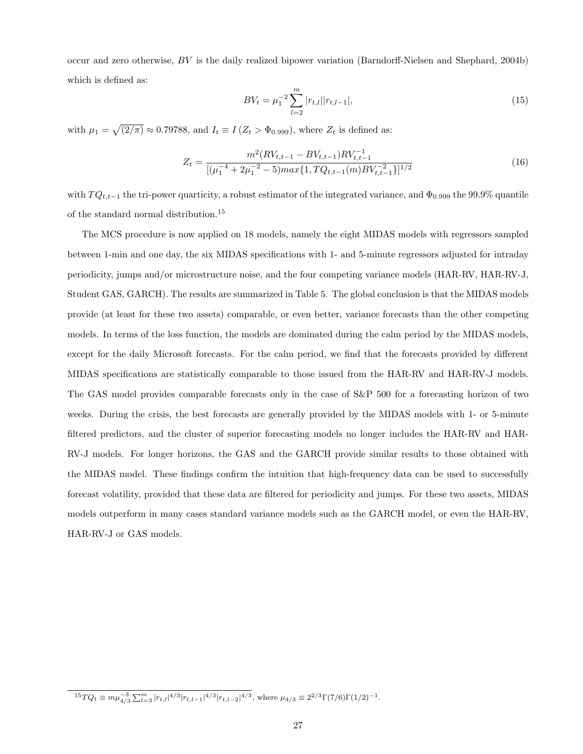occur and zero otherwise, BV is the daily realized bipower variation (Barndorff-Nielsen and Shephard, 2004b) which is defined as:

$$
BV_t = \mu_1^{-2} \sum_{l=2}^{m} |r_{t,l}| |r_{t,l-1}|,
$$
\n(15)

with  $\mu_1 = \sqrt{(2/\pi)} \approx 0.79788$ , and  $I_t \equiv I(Z_t > \Phi_{0.999})$ , where  $Z_t$  is defined as:

$$
Z_{t} = \frac{m^{2}(RV_{t,t-1} - BV_{t,t-1})RV_{t,t-1}^{-1}}{[(\mu_{1}^{-4} + 2\mu_{1}^{-2} - 5)max\{1, TQ_{t,t-1}(m)RV_{t,t-1}^{-2}\}]^{1/2}}
$$
(16)

with  $T Q_{t,t-1}$  the tri-power quarticity, a robust estimator of the integrated variance, and  $\Phi_{0.999}$  the 99.9% quantile of the standard normal distribution.<sup>15</sup>

The MCS procedure is now applied on 18 models, namely the eight MIDAS models with regressors sampled between 1-min and one day, the six MIDAS specifications with 1- and 5-minute regressors adjusted for intraday periodicity, jumps and/or microstructure noise, and the four competing variance models (HAR-RV, HAR-RV-J, Student GAS, GARCH). The results are summarized in Table 5. The global conclusion is that the MIDAS models provide (at least for these two assets) comparable, or even better, variance forecasts than the other competing models. In terms of the loss function, the models are dominated during the calm period by the MIDAS models, except for the daily Microsoft forecasts. For the calm period, we find that the forecasts provided by different MIDAS specifications are statistically comparable to those issued from the HAR-RV and HAR-RV-J models. The GAS model provides comparable forecasts only in the case of S&P 500 for a forecasting horizon of two weeks. During the crisis, the best forecasts are generally provided by the MIDAS models with 1- or 5-minute filtered predictors, and the cluster of superior forecasting models no longer includes the HAR-RV and HAR-RV-J models. For longer horizons, the GAS and the GARCH provide similar results to those obtained with the MIDAS model. These findings confirm the intuition that high-frequency data can be used to successfully forecast volatility, provided that these data are filtered for periodicity and jumps. For these two assets, MIDAS models outperform in many cases standard variance models such as the GARCH model, or even the HAR-RV, HAR-RV-J or GAS models.

 ${}^{15}TQ_t \equiv m\mu_{4/3}^{-3}\sum_{l=3}^m |r_{t,l}|^{4/3}|r_{t,l-1}|^{4/3}|r_{t,l-2}|^{4/3}$ , where  $\mu_{4/3} \equiv 2^{2/3}\Gamma(7/6)\Gamma(1/2)^{-1}$ .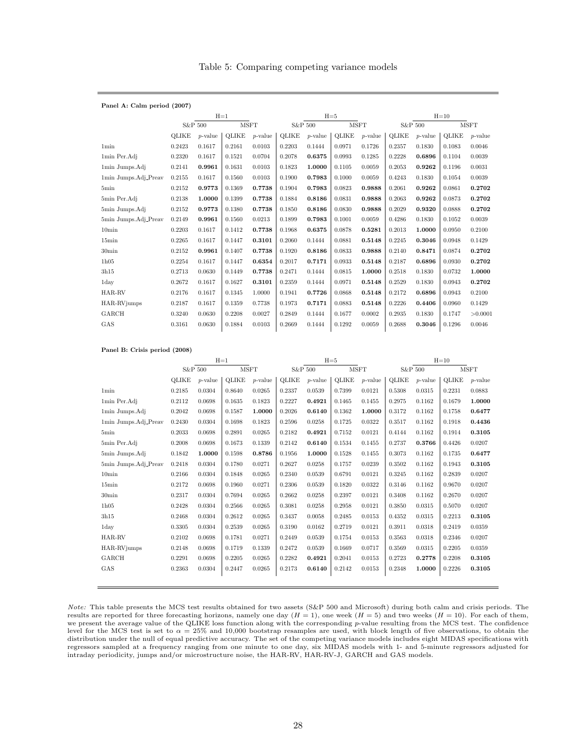| Table 5: Comparing competing variance models |  |  |
|----------------------------------------------|--|--|
|                                              |  |  |

| Panel A: Calm period (2007) |         |            |              |            |         |            |        |             |              |            |        |             |
|-----------------------------|---------|------------|--------------|------------|---------|------------|--------|-------------|--------------|------------|--------|-------------|
|                             |         |            | $H=1$        |            |         |            | $H=5$  |             |              |            | $H=10$ |             |
|                             | S&P 500 |            | <b>MSFT</b>  |            | S&P 500 |            |        | <b>MSFT</b> |              | S&P 500    |        | <b>MSFT</b> |
|                             | OLIKE   | $p$ -value | <b>OLIKE</b> | $p$ -value | OLIKE   | $p$ -value | OLIKE  | $p$ -value  | <b>QLIKE</b> | $p$ -value | OLIKE  | $p$ -value  |
| <b>1min</b>                 | 0.2423  | 0.1617     | 0.2161       | 0.0103     | 0.2203  | 0.1444     | 0.0971 | 0.1726      | 0.2357       | 0.1830     | 0.1083 | 0.0046      |
| 1min Per.Adj                | 0.2320  | 0.1617     | 0.1521       | 0.0704     | 0.2078  | 0.6375     | 0.0993 | 0.1285      | 0.2228       | 0.6896     | 0.1104 | 0.0039      |
| 1min Jumps.Adj              | 0.2141  | 0.9961     | 0.1631       | 0.0103     | 0.1823  | 1.0000     | 0.1105 | 0.0059      | 0.2053       | 0.9262     | 0.1196 | 0.0031      |
| 1min Jumps.Adj_Preav        | 0.2155  | 0.1617     | 0.1560       | 0.0103     | 0.1900  | 0.7983     | 0.1000 | 0.0059      | 0.4243       | 0.1830     | 0.1054 | 0.0039      |
| 5min                        | 0.2152  | 0.9773     | 0.1369       | 0.7738     | 0.1904  | 0.7983     | 0.0823 | 0.9888      | 0.2061       | 0.9262     | 0.0861 | 0.2702      |
| 5min Per.Adj                | 0.2138  | 1.0000     | 0.1399       | 0.7738     | 0.1884  | 0.8186     | 0.0831 | 0.9888      | 0.2063       | 0.9262     | 0.0873 | 0.2702      |
| 5min Jumps.Adj              | 0.2152  | 0.9773     | 0.1380       | 0.7738     | 0.1850  | 0.8186     | 0.0830 | 0.9888      | 0.2029       | 0.9320     | 0.0888 | 0.2702      |
| 5min Jumps.Adj_Preav        | 0.2149  | 0.9961     | 0.1560       | 0.0213     | 0.1899  | 0.7983     | 0.1001 | 0.0059      | 0.4286       | 0.1830     | 0.1052 | 0.0039      |
| 10 <sub>min</sub>           | 0.2203  | 0.1617     | 0.1412       | 0.7738     | 0.1968  | 0.6375     | 0.0878 | 0.5281      | 0.2013       | 1.0000     | 0.0950 | 0.2100      |
| $15\text{min}$              | 0.2265  | 0.1617     | 0.1447       | 0.3101     | 0.2060  | 0.1444     | 0.0881 | 0.5148      | 0.2245       | 0.3046     | 0.0948 | 0.1429      |
| 30 <sub>min</sub>           | 0.2152  | 0.9961     | 0.1407       | 0.7738     | 0.1920  | 0.8186     | 0.0833 | 0.9888      | 0.2140       | 0.8471     | 0.0874 | 0.2702      |
| 1h05                        | 0.2254  | 0.1617     | 0.1447       | 0.6354     | 0.2017  | 0.7171     | 0.0933 | 0.5148      | 0.2187       | 0.6896     | 0.0930 | 0.2702      |
| 3h15                        | 0.2713  | 0.0630     | 0.1449       | 0.7738     | 0.2471  | 0.1444     | 0.0815 | 1.0000      | 0.2518       | 0.1830     | 0.0732 | 1.0000      |
| 1day                        | 0.2672  | 0.1617     | 0.1627       | 0.3101     | 0.2359  | 0.1444     | 0.0971 | 0.5148      | 0.2529       | 0.1830     | 0.0943 | 0.2702      |
| HAR-RV                      | 0.2176  | 0.1617     | 0.1345       | 1.0000     | 0.1941  | 0.7726     | 0.0868 | 0.5148      | 0.2172       | 0.6896     | 0.0943 | 0.2100      |
| HAR-RVjumps                 | 0.2187  | 0.1617     | 0.1359       | 0.7738     | 0.1973  | 0.7171     | 0.0883 | 0.5148      | 0.2226       | 0.4406     | 0.0960 | 0.1429      |
| GARCH                       | 0.3240  | 0.0630     | 0.2208       | 0.0027     | 0.2849  | 0.1444     | 0.1677 | 0.0002      | 0.2935       | 0.1830     | 0.1747 | >0.0001     |
| GAS                         | 0.3161  | 0.0630     | 0.1884       | 0.0103     | 0.2669  | 0.1444     | 0.1292 | 0.0059      | 0.2688       | 0.3046     | 0.1296 | 0.0046      |

Panel B: Crisis period (2008)

|                      | $H=1$   |            |              |            |         | $H = 5$    |              |            | $H=10$       |            |        |             |
|----------------------|---------|------------|--------------|------------|---------|------------|--------------|------------|--------------|------------|--------|-------------|
|                      | S&P 500 |            | <b>MSFT</b>  |            | S&P 500 |            | <b>MSFT</b>  |            |              | S&P 500    |        | <b>MSFT</b> |
|                      | OLIKE   | $p$ -value | <b>OLIKE</b> | $p$ -value | OLIKE   | $p$ -value | <b>QLIKE</b> | $p$ -value | <b>QLIKE</b> | $p$ -value | OLIKE  | $p$ -value  |
| 1 <sub>min</sub>     | 0.2185  | 0.0304     | 0.8640       | 0.0265     | 0.2337  | 0.0539     | 0.7399       | 0.0121     | 0.5308       | 0.0315     | 0.2231 | 0.0883      |
| 1min Per.Adj         | 0.2112  | 0.0698     | 0.1635       | 0.1823     | 0.2227  | 0.4921     | 0.1465       | 0.1455     | 0.2975       | 0.1162     | 0.1679 | 1.0000      |
| 1min Jumps.Adj       | 0.2042  | 0.0698     | 0.1587       | 1.0000     | 0.2026  | 0.6140     | 0.1362       | 1.0000     | 0.3172       | 0.1162     | 0.1758 | 0.6477      |
| 1min Jumps.Adj_Preav | 0.2430  | 0.0304     | 0.1698       | 0.1823     | 0.2596  | 0.0258     | 0.1725       | 0.0322     | 0.3517       | 0.1162     | 0.1918 | 0.4436      |
| 5 <sub>min</sub>     | 0.2033  | 0.0698     | 0.2891       | 0.0265     | 0.2182  | 0.4921     | 0.7152       | 0.0121     | 0.4144       | 0.1162     | 0.1914 | 0.3105      |
| 5min Per.Adj         | 0.2008  | 0.0698     | 0.1673       | 0.1339     | 0.2142  | 0.6140     | 0.1534       | 0.1455     | 0.2737       | 0.3766     | 0.4426 | 0.0207      |
| 5min Jumps.Adj       | 0.1842  | 1.0000     | 0.1598       | 0.8786     | 0.1956  | 1.0000     | 0.1528       | 0.1455     | 0.3073       | 0.1162     | 0.1735 | 0.6477      |
| 5min Jumps.Adj_Preav | 0.2418  | 0.0304     | 0.1780       | 0.0271     | 0.2627  | 0.0258     | 0.1757       | 0.0239     | 0.3502       | 0.1162     | 0.1943 | 0.3105      |
| 10 <sub>min</sub>    | 0.2166  | 0.0304     | 0.1848       | 0.0265     | 0.2340  | 0.0539     | 0.6791       | 0.0121     | 0.3245       | 0.1162     | 0.2839 | 0.0207      |
| 15min                | 0.2172  | 0.0698     | 0.1960       | 0.0271     | 0.2306  | 0.0539     | 0.1820       | 0.0322     | 0.3146       | 0.1162     | 0.9670 | 0.0207      |
| $30\text{min}$       | 0.2317  | 0.0304     | 0.7694       | 0.0265     | 0.2662  | 0.0258     | 0.2397       | 0.0121     | 0.3408       | 0.1162     | 0.2670 | 0.0207      |
| 1h05                 | 0.2428  | 0.0304     | 0.2566       | 0.0265     | 0.3081  | 0.0258     | 0.2958       | 0.0121     | 0.3850       | 0.0315     | 0.5070 | 0.0207      |
| 3h15                 | 0.2468  | 0.0304     | 0.2612       | 0.0265     | 0.3437  | 0.0058     | 0.2485       | 0.0153     | 0.4352       | 0.0315     | 0.2213 | 0.3105      |
| 1day                 | 0.3305  | 0.0304     | 0.2539       | 0.0265     | 0.3190  | 0.0162     | 0.2719       | 0.0121     | 0.3911       | 0.0318     | 0.2419 | 0.0359      |
| HAR-RV               | 0.2102  | 0.0698     | 0.1781       | 0.0271     | 0.2449  | 0.0539     | 0.1754       | 0.0153     | 0.3563       | 0.0318     | 0.2346 | 0.0207      |
| HAR-RVjumps          | 0.2148  | 0.0698     | 0.1719       | 0.1339     | 0.2472  | 0.0539     | 0.1669       | 0.0717     | 0.3569       | 0.0315     | 0.2205 | 0.0359      |
| GARCH                | 0.2291  | 0.0698     | 0.2205       | 0.0265     | 0.2282  | 0.4921     | 0.2041       | 0.0153     | 0.2723       | 0.2778     | 0.2208 | 0.3105      |
| GAS                  | 0.2363  | 0.0304     | 0.2447       | 0.0265     | 0.2173  | 0.6140     | 0.2142       | 0.0153     | 0.2348       | 1.0000     | 0.2226 | 0.3105      |
|                      |         |            |              |            |         |            |              |            |              |            |        |             |

Note: This table presents the MCS test results obtained for two assets (S&P 500 and Microsoft) during both calm and crisis periods. The results are reported for three forecasting horizons, namely one day  $(H = 1)$ , one week  $(H = 5)$  and two weeks  $(H = 10)$ . For each of them, we present the average value of the QLIKE loss function along with the corresponding p-value resulting from the MCS test. The confidence level for the MCS test is set to  $\alpha = 25\%$  and 10,000 bootstrap resamples are used, with block length of five observations, to obtain the distribution under the null of equal predictive accuracy. The set of the competing variance models includes eight MIDAS specifications with regressors sampled at a frequency ranging from one minute to one day, six MIDAS models with 1- and 5-minute regressors adjusted for intraday periodicity, jumps and/or microstructure noise, the HAR-RV, HAR-RV-J, GARCH and GAS models.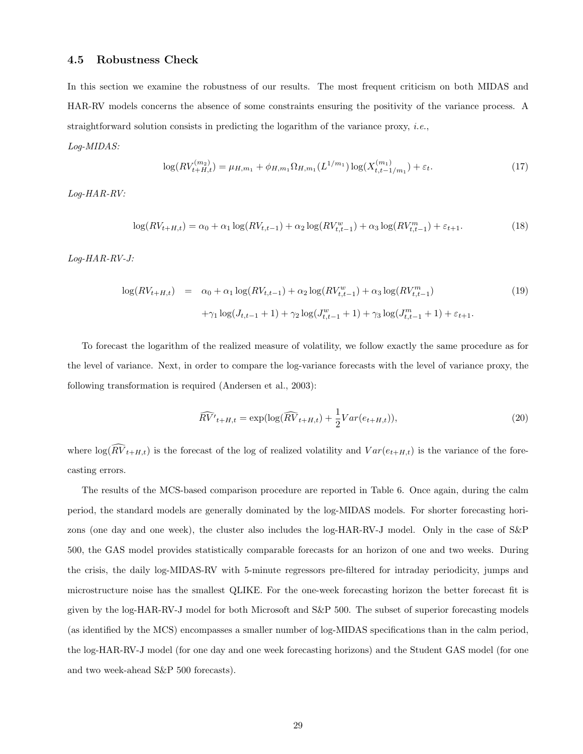#### 4.5 Robustness Check

In this section we examine the robustness of our results. The most frequent criticism on both MIDAS and HAR-RV models concerns the absence of some constraints ensuring the positivity of the variance process. A straightforward solution consists in predicting the logarithm of the variance proxy, *i.e.*, Log-MIDAS:

$$
\log(RV_{t+H,t}^{(m_2)}) = \mu_{H,m_1} + \phi_{H,m_1}\Omega_{H,m_1}(L^{1/m_1})\log(X_{t,t-1/m_1}^{(m_1)}) + \varepsilon_t.
$$
\n(17)

Log-HAR-RV:

$$
\log(RV_{t+H,t}) = \alpha_0 + \alpha_1 \log(RV_{t,t-1}) + \alpha_2 \log(RV_{t,t-1}^w) + \alpha_3 \log(RV_{t,t-1}^m) + \varepsilon_{t+1}.
$$
\n(18)

Log-HAR-RV-J:

$$
\log(RV_{t+H,t}) = \alpha_0 + \alpha_1 \log(RV_{t,t-1}) + \alpha_2 \log(RV_{t,t-1}^w) + \alpha_3 \log(RV_{t,t-1}^m)
$$
\n
$$
+ \gamma_1 \log(J_{t,t-1} + 1) + \gamma_2 \log(J_{t,t-1}^w + 1) + \gamma_3 \log(J_{t,t-1}^m + 1) + \varepsilon_{t+1}.
$$
\n(19)

To forecast the logarithm of the realized measure of volatility, we follow exactly the same procedure as for the level of variance. Next, in order to compare the log-variance forecasts with the level of variance proxy, the following transformation is required (Andersen et al., 2003):

$$
\widehat{RV'}_{t+H,t} = \exp(\log(\widehat{RV}_{t+H,t}) + \frac{1}{2}Var(e_{t+H,t})),\tag{20}
$$

where  $\log(\widehat{RV}_{t+H,t})$  is the forecast of the log of realized volatility and  $Var(e_{t+H,t})$  is the variance of the forecasting errors.

The results of the MCS-based comparison procedure are reported in Table 6. Once again, during the calm period, the standard models are generally dominated by the log-MIDAS models. For shorter forecasting horizons (one day and one week), the cluster also includes the log-HAR-RV-J model. Only in the case of S&P 500, the GAS model provides statistically comparable forecasts for an horizon of one and two weeks. During the crisis, the daily log-MIDAS-RV with 5-minute regressors pre-filtered for intraday periodicity, jumps and microstructure noise has the smallest QLIKE. For the one-week forecasting horizon the better forecast fit is given by the log-HAR-RV-J model for both Microsoft and S&P 500. The subset of superior forecasting models (as identified by the MCS) encompasses a smaller number of log-MIDAS specifications than in the calm period, the log-HAR-RV-J model (for one day and one week forecasting horizons) and the Student GAS model (for one and two week-ahead S&P 500 forecasts).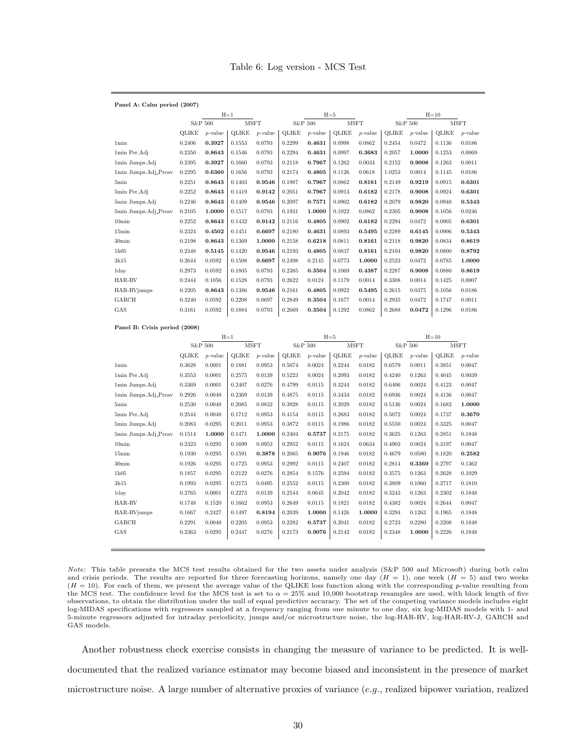#### Table 6: Log version - MCS Test

| Panel A: Calm period (2007) |        |            |              |             |              |            |              |             |              |            |        |             |
|-----------------------------|--------|------------|--------------|-------------|--------------|------------|--------------|-------------|--------------|------------|--------|-------------|
|                             |        |            | $H=1$        |             |              |            | $H=5$        |             |              |            | $H=10$ |             |
|                             |        | S&P 500    |              | <b>MSFT</b> |              | S&P 500    |              | <b>MSFT</b> |              | S&P 500    |        | <b>MSFT</b> |
|                             | OLIKE  | $p$ -value | <b>QLIKE</b> | $p$ -value  | <b>OLIKE</b> | $p$ -value | <b>QLIKE</b> | $p$ -value  | <b>QLIKE</b> | $p$ -value | OLIKE  | $p$ -value  |
| 1 <sub>min</sub>            | 0.2406 | 0.3927     | 0.1553       | 0.0793      | 0.2299       | 0.4631     | 0.0998       | 0.0862      | 0.2454       | 0.0472     | 0.1136 | 0.0186      |
| 1min Per.Adj                | 0.2350 | 0.8643     | 0.1546       | 0.0793      | 0.2294       | 0.4631     | 0.0997       | 0.3683      | 0.2057       | 1.0000     | 0.1253 | 0.0069      |
| 1min Jumps.Adj              | 0.2395 | 0.3927     | 0.1660       | 0.0793      | 0.2118       | 0.7967     | 0.1262       | 0.0034      | 0.2152       | 0.9008     | 0.1263 | 0.0011      |
| 1min Jumps.Adj_Preav        | 0.2295 | 0.6360     | 0.1656       | 0.0793      | 0.2174       | 0.4805     | 0.1126       | 0.0618      | 1.0253       | 0.0014     | 0.1145 | 0.0186      |
| 5min                        | 0.2251 | 0.8643     | 0.1403       | 0.9546      | 0.1987       | 0.7967     | 0.0862       | 0.8161      | 0.2149       | 0.9219     | 0.0915 | 0.6301      |
| 5min Per.Adj                | 0.2252 | 0.8643     | 0.1419       | 0.9142      | 0.2051       | 0.7967     | 0.0913       | 0.6182      | 0.2178       | 0.9008     | 0.0924 | 0.6301      |
| 5min Jumps.Adj              | 0.2246 | 0.8643     | 0.1409       | 0.9546      | 0.2097       | 0.7571     | 0.0902       | 0.6182      | 0.2079       | 0.9820     | 0.0948 | 0.5343      |
| 5min Jumps.Adj_Preav        | 0.2105 | 1.0000     | 0.1517       | 0.0793      | 0.1931       | 1.0000     | 0.1022       | 0.0862      | 0.2305       | 0.9008     | 0.1056 | 0.0246      |
| 10 <sub>min</sub>           | 0.2252 | 0.8643     | 0.1432       | 0.9142      | 0.2116       | 0.4805     | 0.0902       | 0.6182      | 0.2294       | 0.0472     | 0.0905 | 0.6301      |
| $15\text{min}$              | 0.2324 | 0.4502     | 0.1451       | 0.6697      | 0.2180       | 0.4631     | 0.0893       | 0.5495      | 0.2289       | 0.6145     | 0.0906 | 0.5343      |
| 30 <sub>min</sub>           | 0.2198 | 0.8643     | 0.1369       | 1.0000      | 0.2158       | 0.6218     | 0.0811       | 0.8161      | 0.2118       | 0.9820     | 0.0834 | 0.8619      |
| 1h05                        | 0.2348 | 0.5145     | 0.1420       | 0.9546      | 0.2193       | 0.4805     | 0.0837       | 0.8161      | 0.2104       | 0.9820     | 0.0800 | 0.8792      |
| 3h15                        | 0.2644 | 0.0592     | 0.1508       | 0.6697      | 0.2498       | 0.2145     | 0.0773       | 1.0000      | 0.2523       | 0.0472     | 0.0785 | 1.0000      |
| 1day                        | 0.2973 | 0.0592     | 0.1805       | 0.0793      | 0.2385       | 0.3504     | 0.1069       | 0.4387      | 0.2287       | 0.9008     | 0.0880 | 0.8619      |
| HAR-RV                      | 0.2444 | 0.1056     | 0.1528       | 0.0793      | 0.2622       | 0.0124     | 0.1179       | 0.0014      | 0.3308       | 0.0014     | 0.1425 | 0.0007      |
| HAR-RVjumps                 | 0.2205 | 0.8643     | 0.1386       | 0.9546      | 0.2161       | 0.4805     | 0.0922       | 0.5495      | 0.2615       | 0.0375     | 0.1056 | 0.0186      |
| GARCH                       | 0.3240 | 0.0592     | 0.2208       | 0.0697      | 0.2849       | 0.3504     | 0.1677       | 0.0014      | 0.2935       | 0.0472     | 0.1747 | 0.0011      |
| GAS                         | 0.3161 | 0.0592     | 0.1884       | 0.0793      | 0.2669       | 0.3504     | 0.1292       | 0.0862      | 0.2688       | 0.0472     | 0.1296 | 0.0186      |
|                             |        |            |              |             |              |            |              |             |              |            |        |             |

#### Panel B: Crisis period (2008)

|                      | $H=1$   |            |              |            |              | $H = 5$    |              |            | $H=10$       |            |        |             |  |
|----------------------|---------|------------|--------------|------------|--------------|------------|--------------|------------|--------------|------------|--------|-------------|--|
|                      | S&P 500 |            | <b>MSFT</b>  |            | S&P 500      |            | <b>MSFT</b>  |            | S&P 500      |            |        | <b>MSFT</b> |  |
|                      | OLIKE   | $p$ -value | <b>QLIKE</b> | $p$ -value | <b>OLIKE</b> | $p$ -value | <b>OLIKE</b> | $p$ -value | <b>OLIKE</b> | $p$ -value | OLIKE  | $p$ -value  |  |
| 1 <sub>min</sub>     | 0.3628  | 0.0001     | 0.1881       | 0.0953     | 0.5074       | 0.0024     | 0.2244       | 0.0182     | 0.6579       | 0.0011     | 0.3851 | 0.0047      |  |
| 1min Per.Adj         | 0.3553  | 0.0001     | 0.2575       | 0.0139     | 0.5223       | 0.0024     | 0.2093       | 0.0182     | 0.4240       | 0.1263     | 0.4045 | 0.0039      |  |
| 1min Jumps.Adj       | 0.3369  | 0.0001     | 0.2407       | 0.0276     | 0.4799       | 0.0115     | 0.3244       | 0.0182     | 0.6406       | 0.0024     | 0.4123 | 0.0047      |  |
| 1min Jumps.Adj_Preav | 0.2926  | 0.0048     | 0.2369       | 0.0139     | 0.4875       | 0.0115     | 0.3434       | 0.0182     | 0.6936       | 0.0024     | 0.4136 | 0.0047      |  |
| 5min                 | 0.2530  | 0.0048     | 0.2085       | 0.0832     | 0.3928       | 0.0115     | 0.2029       | 0.0182     | 0.5136       | 0.0024     | 0.1682 | 1.0000      |  |
| 5min Per.Adj         | 0.2544  | 0.0048     | 0.1712       | 0.0953     | 0.4154       | 0.0115     | 0.2683       | 0.0182     | 0.5072       | 0.0024     | 0.1737 | 0.3670      |  |
| 5min Jumps.Adj       | 0.2083  | 0.0295     | 0.2011       | 0.0953     | 0.3872       | 0.0115     | 0.1986       | 0.0182     | 0.5550       | 0.0024     | 0.3325 | 0.0047      |  |
| 5min Jumps.Adj_Preav | 0.1514  | 1.0000     | 0.1471       | 1.0000     | 0.2404       | 0.5737     | 0.2175       | 0.0182     | 0.3625       | 0.1263     | 0.2851 | 0.1848      |  |
| 10 <sub>min</sub>    | 0.2323  | 0.0295     | 0.1699       | 0.0953     | 0.2952       | 0.0115     | 0.1624       | 0.0634     | 0.4903       | 0.0024     | 0.3197 | 0.0047      |  |
| 15min                | 0.1930  | 0.0295     | 0.1591       | 0.3878     | 0.2065       | 0.9076     | 0.1946       | 0.0182     | 0.4679       | 0.0580     | 0.1820 | 0.2582      |  |
| 30 <sub>min</sub>    | 0.1926  | 0.0295     | 0.1725       | 0.0953     | 0.2992       | 0.0115     | 0.2407       | 0.0182     | 0.2814       | 0.3369     | 0.2797 | 0.1362      |  |
| 1h05                 | 0.1857  | 0.0295     | 0.2122       | 0.0276     | 0.2854       | 0.1576     | 0.2594       | 0.0182     | 0.3575       | 0.1263     | 0.2628 | 0.1029      |  |
| 3h15                 | 0.1993  | 0.0295     | 0.2173       | 0.0495     | 0.2552       | 0.0115     | 0.2300       | 0.0182     | 0.3809       | 0.1060     | 0.2717 | 0.1810      |  |
| 1day                 | 0.2765  | 0.0001     | 0.2273       | 0.0139     | 0.2544       | 0.0645     | 0.2042       | 0.0182     | 0.3243       | 0.1263     | 0.2302 | 0.1848      |  |
| HAR-RV               | 0.1748  | 0.1520     | 0.1662       | 0.0953     | 0.2649       | 0.0115     | 0.1821       | 0.0182     | 0.4382       | 0.0024     | 0.2644 | 0.0047      |  |
| HAR-RVjumps          | 0.1667  | 0.2427     | 0.1497       | 0.8194     | 0.2039       | 1.0000     | 0.1426       | 1.0000     | 0.3294       | 0.1263     | 0.1965 | 0.1848      |  |
| GARCH                | 0.2291  | 0.0048     | 0.2205       | 0.0953     | 0.2282       | 0.5737     | 0.2041       | 0.0182     | 0.2723       | 0.2280     | 0.2208 | 0.1848      |  |
| GAS                  | 0.2363  | 0.0295     | 0.2447       | 0.0276     | 0.2173       | 0.9076     | 0.2142       | 0.0182     | 0.2348       | 1.0000     | 0.2226 | 0.1848      |  |
|                      |         |            |              |            |              |            |              |            |              |            |        |             |  |

Note: This table presents the MCS test results obtained for the two assets under analysis (S&P 500 and Microsoft) during both calm and crisis periods. The results are reported for three forecasting horizons, namely one day  $(H = 1)$ , one week  $(H = 5)$  and two weeks  $(H = 10)$ . For each of them, we present the average value of the QLIKE loss function along with the corresponding p-value resulting from the MCS test. The confidence level for the MCS test is set to  $\alpha = 25\%$  and 10,000 bootstrap resamples are used, with block length of five observations, to obtain the distribution under the null of equal predictive accuracy. The set of the competing variance models includes eight log-MIDAS specifications with regressors sampled at a frequency ranging from one minute to one day, six log-MIDAS models with 1- and 5-minute regressors adjusted for intraday periodicity, jumps and/or microstructure noise, the log-HAR-RV, log-HAR-RV-J, GARCH and GAS models.

Another robustness check exercise consists in changing the measure of variance to be predicted. It is welldocumented that the realized variance estimator may become biased and inconsistent in the presence of market microstructure noise. A large number of alternative proxies of variance (e.g., realized bipower variation, realized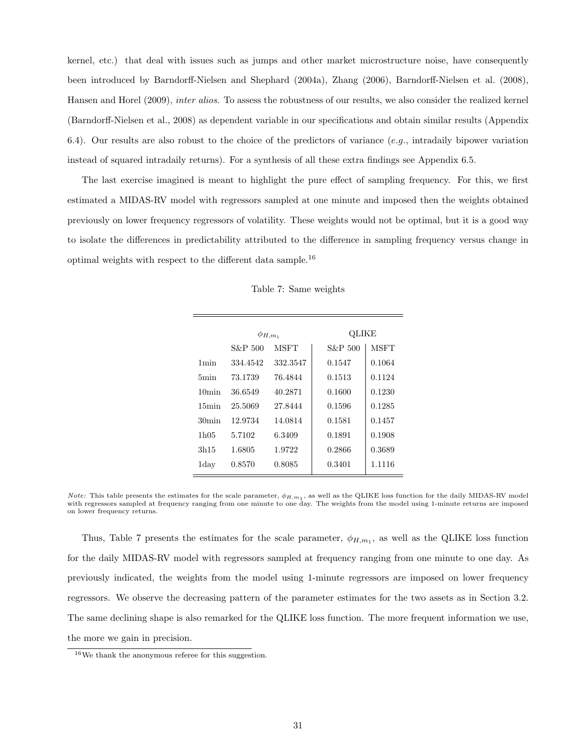kernel, etc.) that deal with issues such as jumps and other market microstructure noise, have consequently been introduced by Barndorff-Nielsen and Shephard (2004a), Zhang (2006), Barndorff-Nielsen et al. (2008), Hansen and Horel (2009), inter alios. To assess the robustness of our results, we also consider the realized kernel (Barndorff-Nielsen et al., 2008) as dependent variable in our specifications and obtain similar results (Appendix 6.4). Our results are also robust to the choice of the predictors of variance  $(e.g.,$  intradaily bipower variation instead of squared intradaily returns). For a synthesis of all these extra findings see Appendix 6.5.

The last exercise imagined is meant to highlight the pure effect of sampling frequency. For this, we first estimated a MIDAS-RV model with regressors sampled at one minute and imposed then the weights obtained previously on lower frequency regressors of volatility. These weights would not be optimal, but it is a good way to isolate the differences in predictability attributed to the difference in sampling frequency versus change in optimal weights with respect to the different data sample.<sup>16</sup>

|                   | $\phi_{H,m_1}$ |             | QLIKE   |             |  |  |  |  |
|-------------------|----------------|-------------|---------|-------------|--|--|--|--|
|                   | S&P 500        | <b>MSFT</b> | S&P 500 | <b>MSFT</b> |  |  |  |  |
| 1 <sub>min</sub>  | 334.4542       | 332.3547    | 0.1547  | 0.1064      |  |  |  |  |
| 5min              | 73.1739        | 76.4844     | 0.1513  | 0.1124      |  |  |  |  |
| 10min             | 36.6549        | 40.2871     | 0.1600  | 0.1230      |  |  |  |  |
| 15min             | 25.5069        | 27.8444     | 0.1596  | 0.1285      |  |  |  |  |
| 30 <sub>min</sub> | 12.9734        | 14.0814     | 0.1581  | 0.1457      |  |  |  |  |
| 1h05              | 5.7102         | 6.3409      | 0.1891  | 0.1908      |  |  |  |  |
| 3h15              | 1.6805         | 1.9722      | 0.2866  | 0.3689      |  |  |  |  |
| $_{\rm 1day}$     | 0.8570         | 0.8085      | 0.3401  | 1.1116      |  |  |  |  |

Table 7: Same weights

Thus, Table 7 presents the estimates for the scale parameter,  $\phi_{H,m_1}$ , as well as the QLIKE loss function for the daily MIDAS-RV model with regressors sampled at frequency ranging from one minute to one day. As previously indicated, the weights from the model using 1-minute regressors are imposed on lower frequency regressors. We observe the decreasing pattern of the parameter estimates for the two assets as in Section 3.2. The same declining shape is also remarked for the QLIKE loss function. The more frequent information we use, the more we gain in precision.

*Note:* This table presents the estimates for the scale parameter,  $\phi_{H,m_1}$ , as well as the QLIKE loss function for the daily MIDAS-RV model with regressors sampled at frequency ranging from one minute to one day. The weights from the model using 1-minute returns are imposed on lower frequency returns.

 $^{16}\mathrm{We}$  thank the anonymous referee for this suggestion.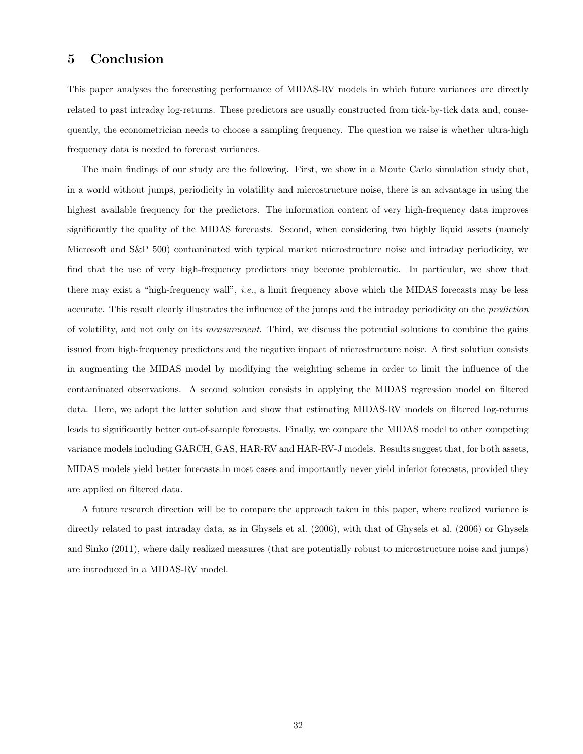# 5 Conclusion

This paper analyses the forecasting performance of MIDAS-RV models in which future variances are directly related to past intraday log-returns. These predictors are usually constructed from tick-by-tick data and, consequently, the econometrician needs to choose a sampling frequency. The question we raise is whether ultra-high frequency data is needed to forecast variances.

The main findings of our study are the following. First, we show in a Monte Carlo simulation study that, in a world without jumps, periodicity in volatility and microstructure noise, there is an advantage in using the highest available frequency for the predictors. The information content of very high-frequency data improves significantly the quality of the MIDAS forecasts. Second, when considering two highly liquid assets (namely Microsoft and S&P 500) contaminated with typical market microstructure noise and intraday periodicity, we find that the use of very high-frequency predictors may become problematic. In particular, we show that there may exist a "high-frequency wall", i.e., a limit frequency above which the MIDAS forecasts may be less accurate. This result clearly illustrates the influence of the jumps and the intraday periodicity on the prediction of volatility, and not only on its measurement. Third, we discuss the potential solutions to combine the gains issued from high-frequency predictors and the negative impact of microstructure noise. A first solution consists in augmenting the MIDAS model by modifying the weighting scheme in order to limit the influence of the contaminated observations. A second solution consists in applying the MIDAS regression model on filtered data. Here, we adopt the latter solution and show that estimating MIDAS-RV models on filtered log-returns leads to significantly better out-of-sample forecasts. Finally, we compare the MIDAS model to other competing variance models including GARCH, GAS, HAR-RV and HAR-RV-J models. Results suggest that, for both assets, MIDAS models yield better forecasts in most cases and importantly never yield inferior forecasts, provided they are applied on filtered data.

A future research direction will be to compare the approach taken in this paper, where realized variance is directly related to past intraday data, as in Ghysels et al. (2006), with that of Ghysels et al. (2006) or Ghysels and Sinko (2011), where daily realized measures (that are potentially robust to microstructure noise and jumps) are introduced in a MIDAS-RV model.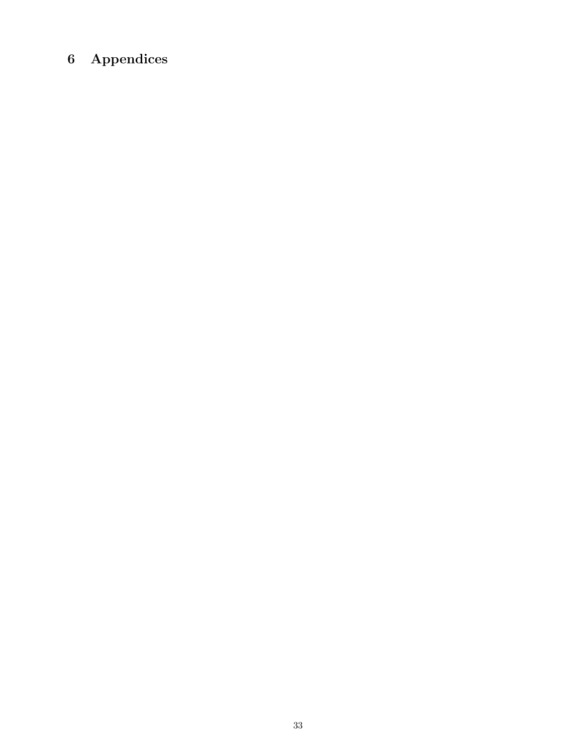# 6 Appendices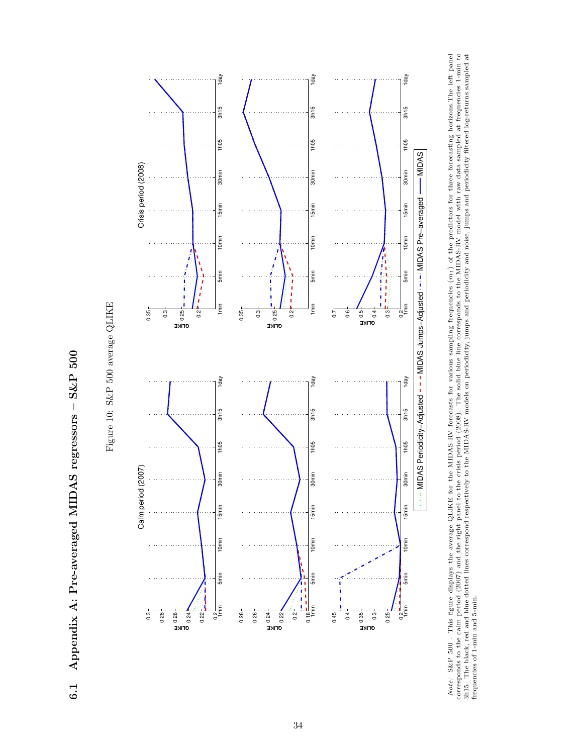Appendix A: Pre-averaged MIDAS regressors - S&P 500 6.1 Appendix A: Pre-averaged MIDAS regressors – S&P 500  $6.1$ 



Figure 10: S&P 500 average QLIKE Figure 10: S&P 500 average QLIKE *Note:* S&P 500 - This figure displays the average QLIKE for the MIDAS-RV forecasts for various sampling frequencies  $(m_1)$  of the predictors for three forecasting horizons.The left panel corresponds to the calm period (2 m1) of the predictors for three forecasting horizons.The left panel corresponds to the calm period (2007) and the right panel to the crisis period (2008). The solid blue line corresponds to the MIDAS-RV model with raw data sampled at frequencies 1-min to 3h15. The black, red and blue dotted lines correspond respectively to the MIDAS-RV models on periodicity, jumps and poise, jumps and periodicity filtered log-returns sampled at Note: S&P 500 - This figure displays the average QLIKE for the MIDAS-RV forecasts for various sampling frequencies ( frequencies of 1-min and 5-min.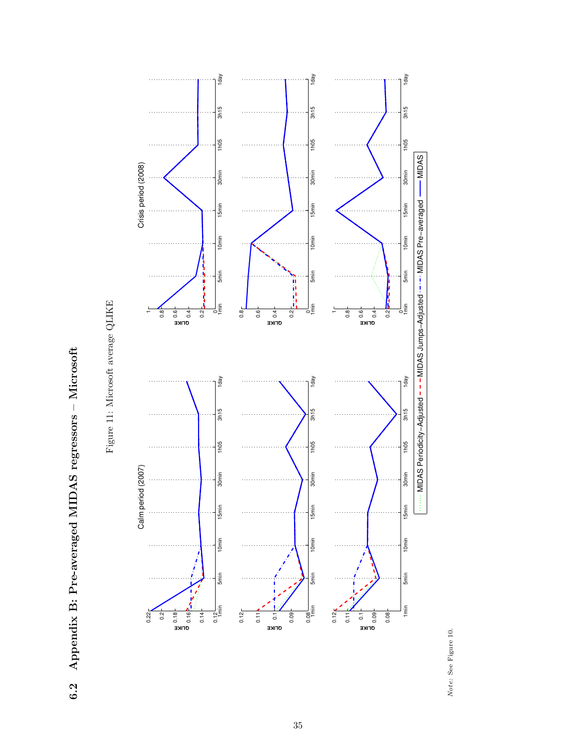6.2 Appendix B: Pre-averaged MIDAS regressors - Microsoft 6.2 Appendix B: Pre-averaged MIDAS regressors – Microsoft



Figure 11: Microsoft average QLIKE Figure 11: Microsoft average QLIKE

> Note: See Figure 10. Note: See Figure 10.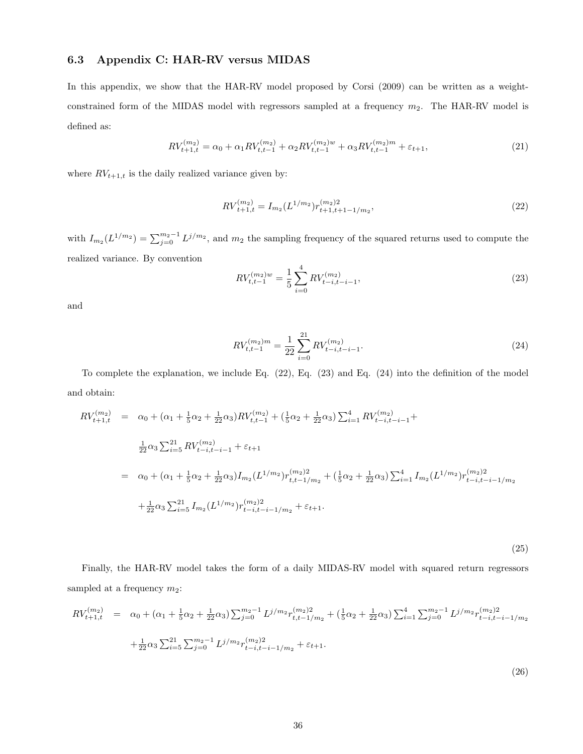# 6.3 Appendix C: HAR-RV versus MIDAS

In this appendix, we show that the HAR-RV model proposed by Corsi (2009) can be written as a weightconstrained form of the MIDAS model with regressors sampled at a frequency  $m_2$ . The HAR-RV model is defined as:

$$
RV_{t+1,t}^{(m_2)} = \alpha_0 + \alpha_1 RV_{t,t-1}^{(m_2)} + \alpha_2 RV_{t,t-1}^{(m_2)w} + \alpha_3 RV_{t,t-1}^{(m_2)m} + \varepsilon_{t+1},
$$
\n(21)

where  $RV_{t+1,t}$  is the daily realized variance given by:

$$
RV_{t+1,t}^{(m_2)} = I_{m_2}(L^{1/m_2})r_{t+1,t+1-1/m_2}^{(m_2)2},\tag{22}
$$

with  $I_{m_2}(L^{1/m_2}) = \sum_{j=0}^{m_2-1} L^{j/m_2}$ , and  $m_2$  the sampling frequency of the squared returns used to compute the realized variance. By convention

$$
RV_{t,t-1}^{(m_2)w} = \frac{1}{5} \sum_{i=0}^{4} RV_{t-i,t-i-1}^{(m_2)},
$$
\n(23)

and

$$
RV_{t,t-1}^{(m_2)m} = \frac{1}{22} \sum_{i=0}^{21} RV_{t-i,t-i-1}^{(m_2)}.
$$
 (24)

To complete the explanation, we include Eq. (22), Eq. (23) and Eq. (24) into the definition of the model and obtain:

$$
RV_{t+1,t}^{(m_2)} = \alpha_0 + (\alpha_1 + \frac{1}{5}\alpha_2 + \frac{1}{22}\alpha_3)RV_{t,t-1}^{(m_2)} + (\frac{1}{5}\alpha_2 + \frac{1}{22}\alpha_3) \sum_{i=1}^4 RV_{t-i,t-i-1}^{(m_2)} +
$$
  
\n
$$
\frac{1}{22}\alpha_3 \sum_{i=5}^{21} RV_{t-i,t-i-1}^{(m_2)} + \varepsilon_{t+1}
$$
  
\n
$$
= \alpha_0 + (\alpha_1 + \frac{1}{5}\alpha_2 + \frac{1}{22}\alpha_3)I_{m_2}(L^{1/m_2})r_{t,t-1/m_2}^{(m_2)2} + (\frac{1}{5}\alpha_2 + \frac{1}{22}\alpha_3) \sum_{i=1}^4 I_{m_2}(L^{1/m_2})r_{t-i,t-i-1/m_2}^{(m_2)2} +
$$
  
\n
$$
+ \frac{1}{22}\alpha_3 \sum_{i=5}^{21} I_{m_2}(L^{1/m_2})r_{t-i,t-i-1/m_2}^{(m_2)2} + \varepsilon_{t+1}.
$$

(25)

Finally, the HAR-RV model takes the form of a daily MIDAS-RV model with squared return regressors sampled at a frequency  $m_2$ :

$$
RV_{t+1,t}^{(m_2)} = \alpha_0 + (\alpha_1 + \frac{1}{5}\alpha_2 + \frac{1}{22}\alpha_3) \sum_{j=0}^{m_2-1} L^{j/m_2} r_{t,t-1/m_2}^{(m_2)2} + (\frac{1}{5}\alpha_2 + \frac{1}{22}\alpha_3) \sum_{i=1}^4 \sum_{j=0}^{m_2-1} L^{j/m_2} r_{t-i,t-i-1/m_2}^{(m_2)2} + \frac{1}{22}\alpha_3 \sum_{i=5}^{21} \sum_{j=0}^{m_2-1} L^{j/m_2} r_{t-i,t-i-1/m_2}^{(m_2)2} + \varepsilon_{t+1}.
$$
\n(26)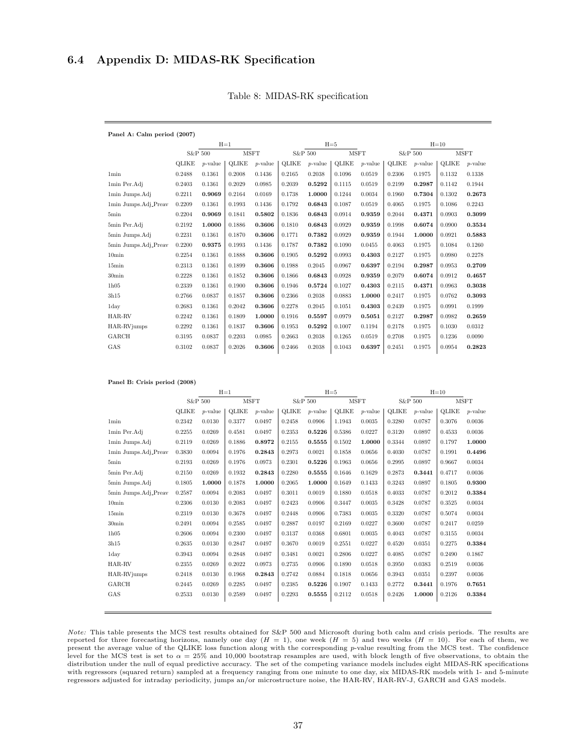# 6.4 Appendix D: MIDAS-RK Specification

Panel B: Crisis period (2008)

| Panel A: Calm period (2007) |              |            |              |            |              |            |              |             |              |            |              |             |  |
|-----------------------------|--------------|------------|--------------|------------|--------------|------------|--------------|-------------|--------------|------------|--------------|-------------|--|
|                             | $H=1$        |            |              |            |              |            | $H=5$        |             | $H=10$       |            |              |             |  |
|                             | S&P 500      |            | <b>MSFT</b>  |            |              | S&P 500    |              | <b>MSFT</b> |              | S&P 500    |              | <b>MSFT</b> |  |
|                             | <b>QLIKE</b> | $p$ -value | <b>OLIKE</b> | $p$ -value | <b>OLIKE</b> | $p$ -value | <b>QLIKE</b> | $p$ -value  | <b>OLIKE</b> | $p$ -value | <b>OLIKE</b> | $p$ -value  |  |
| 1 <sub>min</sub>            | 0.2488       | 0.1361     | 0.2008       | 0.1436     | 0.2165       | 0.2038     | 0.1096       | 0.0519      | 0.2306       | 0.1975     | 0.1132       | 0.1338      |  |
| 1min Per.Adj                | 0.2403       | 0.1361     | 0.2029       | 0.0985     | 0.2039       | 0.5292     | 0.1115       | 0.0519      | 0.2199       | 0.2987     | 0.1142       | 0.1944      |  |
| 1min Jumps.Adj              | 0.2211       | 0.9069     | 0.2164       | 0.0169     | 0.1738       | 1.0000     | 0.1244       | 0.0034      | 0.1960       | 0.7304     | 0.1302       | 0.2673      |  |
| 1min Jumps.Adj_Preav        | 0.2209       | 0.1361     | 0.1993       | 0.1436     | 0.1792       | 0.6843     | 0.1087       | 0.0519      | 0.4065       | 0.1975     | 0.1086       | 0.2243      |  |
| 5min                        | 0.2204       | 0.9069     | 0.1841       | 0.5802     | 0.1836       | 0.6843     | 0.0914       | 0.9359      | 0.2044       | 0.4371     | 0.0903       | 0.3099      |  |
| 5min Per.Adj                | 0.2192       | 1.0000     | 0.1886       | 0.3606     | 0.1810       | 0.6843     | 0.0929       | 0.9359      | 0.1998       | 0.6074     | 0.0900       | 0.3534      |  |
| 5min Jumps.Adj              | 0.2231       | 0.1361     | 0.1870       | 0.3606     | 0.1771       | 0.7382     | 0.0929       | 0.9359      | 0.1944       | 1.0000     | 0.0921       | 0.5883      |  |
| 5min Jumps.Adj_Preav        | 0.2200       | 0.9375     | 0.1993       | 0.1436     | 0.1787       | 0.7382     | 0.1090       | 0.0455      | 0.4063       | 0.1975     | 0.1084       | 0.1260      |  |
| 10 <sub>min</sub>           | 0.2254       | 0.1361     | 0.1888       | 0.3606     | 0.1905       | 0.5292     | 0.0993       | 0.4303      | 0.2127       | 0.1975     | 0.0980       | 0.2278      |  |
| 15min                       | 0.2313       | 0.1361     | 0.1899       | 0.3606     | 0.1988       | 0.2045     | 0.0967       | 0.6397      | 0.2194       | 0.2987     | 0.0953       | 0.2709      |  |
| 30 <sub>min</sub>           | 0.2228       | 0.1361     | 0.1852       | 0.3606     | 0.1866       | 0.6843     | 0.0928       | 0.9359      | 0.2079       | 0.6074     | 0.0912       | 0.4657      |  |
| 1h05                        | 0.2339       | 0.1361     | 0.1900       | 0.3606     | 0.1946       | 0.5724     | 0.1027       | 0.4303      | 0.2115       | 0.4371     | 0.0963       | 0.3038      |  |
| 3h15                        | 0.2766       | 0.0837     | 0.1857       | 0.3606     | 0.2366       | 0.2038     | 0.0883       | 1.0000      | 0.2417       | 0.1975     | 0.0762       | 0.3093      |  |
| 1 <sub>day</sub>            | 0.2683       | 0.1361     | 0.2042       | 0.3606     | 0.2278       | 0.2045     | 0.1051       | 0.4303      | 0.2439       | 0.1975     | 0.0991       | 0.1999      |  |
| HAR-RV                      | 0.2242       | 0.1361     | 0.1809       | 1.0000     | 0.1916       | 0.5597     | 0.0979       | 0.5051      | 0.2127       | 0.2987     | 0.0982       | 0.2659      |  |
| HAR-RVjumps                 | 0.2292       | 0.1361     | 0.1837       | 0.3606     | 0.1953       | 0.5292     | 0.1007       | 0.1194      | 0.2178       | 0.1975     | 0.1030       | 0.0312      |  |
| GARCH                       | 0.3195       | 0.0837     | 0.2203       | 0.0985     | 0.2663       | 0.2038     | 0.1265       | 0.0519      | 0.2708       | 0.1975     | 0.1236       | 0.0090      |  |
| GAS                         | 0.3102       | 0.0837     | 0.2026       | 0.3606     | 0.2466       | 0.2038     | 0.1043       | 0.6397      | 0.2451       | 0.1975     | 0.0954       | 0.2823      |  |

|  |  | Table 8: MIDAS-RK specification |
|--|--|---------------------------------|
|--|--|---------------------------------|

|                      | $H=1$   |            |              |            |              | $H = 5$    |              |             | $H=10$       |            |              |             |
|----------------------|---------|------------|--------------|------------|--------------|------------|--------------|-------------|--------------|------------|--------------|-------------|
|                      | S&P 500 |            | <b>MSFT</b>  |            |              | S&P 500    |              | <b>MSFT</b> |              | S&P 500    |              | <b>MSFT</b> |
|                      | OLIKE   | $p$ -value | <b>OLIKE</b> | $p$ -value | <b>OLIKE</b> | $p$ -value | <b>QLIKE</b> | $p$ -value  | <b>OLIKE</b> | $p$ -value | <b>QLIKE</b> | $p$ -value  |
| 1 <sub>min</sub>     | 0.2342  | 0.0130     | 0.3377       | 0.0497     | 0.2458       | 0.0906     | 1.1943       | 0.0035      | 0.3280       | 0.0787     | 0.3076       | 0.0036      |
| 1min Per.Adj         | 0.2255  | 0.0269     | 0.4581       | 0.0497     | 0.2353       | 0.5226     | 0.5386       | 0.0227      | 0.3120       | 0.0897     | 0.4533       | 0.0036      |
| 1min Jumps.Adj       | 0.2119  | 0.0269     | 0.1886       | 0.8972     | 0.2155       | 0.5555     | 0.1502       | 1.0000      | 0.3344       | 0.0897     | 0.1797       | 1.0000      |
| 1min Jumps.Adj_Preav | 0.3830  | 0.0094     | 0.1976       | 0.2843     | 0.2973       | 0.0021     | 0.1858       | 0.0656      | 0.4030       | 0.0787     | 0.1991       | 0.4496      |
| 5min                 | 0.2193  | 0.0269     | 0.1976       | 0.0973     | 0.2301       | 0.5226     | 0.1963       | 0.0656      | 0.2995       | 0.0897     | 0.9667       | 0.0034      |
| 5min Per.Adj         | 0.2150  | 0.0269     | 0.1932       | 0.2843     | 0.2280       | 0.5555     | 0.1646       | 0.1629      | 0.2873       | 0.3441     | 0.4717       | 0.0036      |
| 5min Jumps.Adj       | 0.1805  | 1.0000     | 0.1878       | 1.0000     | 0.2065       | 1.0000     | 0.1649       | 0.1433      | 0.3243       | 0.0897     | 0.1805       | 0.9300      |
| 5min Jumps.Adj_Preav | 0.2587  | 0.0094     | 0.2083       | 0.0497     | 0.3011       | 0.0019     | 0.1880       | 0.0518      | 0.4033       | 0.0787     | 0.2012       | 0.3384      |
| 10 <sub>min</sub>    | 0.2306  | 0.0130     | 0.2083       | 0.0497     | 0.2423       | 0.0906     | 0.3447       | 0.0035      | 0.3428       | 0.0787     | 0.3525       | 0.0034      |
| 15min                | 0.2319  | 0.0130     | 0.3678       | 0.0497     | 0.2448       | 0.0906     | 0.7383       | 0.0035      | 0.3320       | 0.0787     | 0.5074       | 0.0034      |
| 30 <sub>min</sub>    | 0.2491  | 0.0094     | 0.2585       | 0.0497     | 0.2887       | 0.0197     | 0.2169       | 0.0227      | 0.3600       | 0.0787     | 0.2417       | 0.0259      |
| 1h05                 | 0.2606  | 0.0094     | 0.2300       | 0.0497     | 0.3137       | 0.0368     | 0.6801       | 0.0035      | 0.4043       | 0.0787     | 0.3155       | 0.0034      |
| 3h15                 | 0.2635  | 0.0130     | 0.2847       | 0.0497     | 0.3670       | 0.0019     | 0.2551       | 0.0227      | 0.4520       | 0.0351     | 0.2275       | 0.3384      |
| 1 <sub>day</sub>     | 0.3943  | 0.0094     | 0.2848       | 0.0497     | 0.3481       | 0.0021     | 0.2806       | 0.0227      | 0.4085       | 0.0787     | 0.2490       | 0.1867      |
| HAR-RV               | 0.2355  | 0.0269     | 0.2022       | 0.0973     | 0.2735       | 0.0906     | 0.1890       | 0.0518      | 0.3950       | 0.0383     | 0.2519       | 0.0036      |
| HAR-RVjumps          | 0.2418  | 0.0130     | 0.1968       | 0.2843     | 0.2742       | 0.0884     | 0.1818       | 0.0656      | 0.3943       | 0.0351     | 0.2397       | 0.0036      |
| GARCH                | 0.2445  | 0.0269     | 0.2285       | 0.0497     | 0.2385       | 0.5226     | 0.1907       | 0.1433      | 0.2772       | 0.3441     | 0.1976       | 0.7651      |
| GAS                  | 0.2533  | 0.0130     | 0.2589       | 0.0497     | 0.2293       | 0.5555     | 0.2112       | 0.0518      | 0.2426       | 1.0000     | 0.2126       | 0.3384      |
|                      |         |            |              |            |              |            |              |             |              |            |              |             |

#### Note: This table presents the MCS test results obtained for S&P 500 and Microsoft during both calm and crisis periods. The results are reported for three forecasting horizons, namely one day  $(H = 1)$ , one week  $(H = 5)$  and two weeks  $(H = 10)$ . For each of them, we present the average value of the QLIKE loss function along with the corresponding p-value resulting from the MCS test. The confidence level for the MCS test is set to  $\alpha = 25\%$  and 10,000 bootstrap resamples are used, with block length of five observations, to obtain the distribution under the null of equal predictive accuracy. The set of the competing variance models includes eight MIDAS-RK specifications with regressors (squared return) sampled at a frequency ranging from one minute to one day, six MIDAS-RK models with 1- and 5-minute regressors adjusted for intraday periodicity, jumps an/or microstructure noise, the HAR-RV, HAR-RV-J, GARCH and GAS models.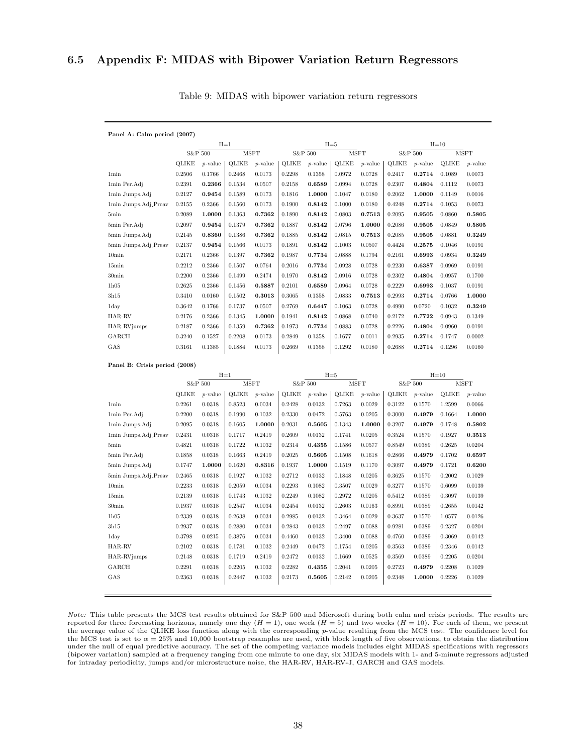## 6.5 Appendix F: MIDAS with Bipower Variation Return Regressors

| Panel A: Calm period (2007) |              |            |              |            |        |            |              |             |              |            |        |             |  |
|-----------------------------|--------------|------------|--------------|------------|--------|------------|--------------|-------------|--------------|------------|--------|-------------|--|
|                             |              |            | $H=1$        |            |        |            | $H=5$        |             | $H=10$       |            |        |             |  |
|                             | S&P 500      |            | <b>MSFT</b>  |            |        | S&P 500    |              | <b>MSFT</b> |              | S&P 500    |        | <b>MSFT</b> |  |
|                             | <b>QLIKE</b> | $p$ -value | <b>OLIKE</b> | $p$ -value | OLIKE  | $p$ -value | <b>QLIKE</b> | $p$ -value  | <b>OLIKE</b> | $p$ -value | OLIKE  | $p$ -value  |  |
| 1 <sub>min</sub>            | 0.2506       | 0.1766     | 0.2468       | 0.0173     | 0.2298 | 0.1358     | 0.0972       | 0.0728      | 0.2417       | 0.2714     | 0.1089 | 0.0073      |  |
| 1min Per.Adj                | 0.2391       | 0.2366     | 0.1534       | 0.0507     | 0.2158 | 0.6589     | 0.0994       | 0.0728      | 0.2307       | 0.4804     | 0.1112 | 0.0073      |  |
| 1min Jumps.Adj              | 0.2127       | 0.9454     | 0.1589       | 0.0173     | 0.1816 | 1.0000     | 0.1047       | 0.0180      | 0.2062       | 1.0000     | 0.1149 | 0.0016      |  |
| 1min Jumps.Adj_Preav        | 0.2155       | 0.2366     | 0.1560       | 0.0173     | 0.1900 | 0.8142     | 0.1000       | 0.0180      | 0.4248       | 0.2714     | 0.1053 | 0.0073      |  |
| 5min                        | 0.2089       | 1.0000     | 0.1363       | 0.7362     | 0.1890 | 0.8142     | 0.0803       | 0.7513      | 0.2095       | 0.9505     | 0.0860 | 0.5805      |  |
| 5min Per.Adj                | 0.2097       | 0.9454     | 0.1379       | 0.7362     | 0.1887 | 0.8142     | 0.0796       | 1.0000      | 0.2086       | 0.9505     | 0.0849 | 0.5805      |  |
| 5min Jumps.Adj              | 0.2145       | 0.8360     | 0.1386       | 0.7362     | 0.1885 | 0.8142     | 0.0815       | 0.7513      | 0.2085       | 0.9505     | 0.0881 | 0.3249      |  |
| 5min Jumps.Adj_Preav        | 0.2137       | 0.9454     | 0.1566       | 0.0173     | 0.1891 | 0.8142     | 0.1003       | 0.0507      | 0.4424       | 0.2575     | 0.1046 | 0.0191      |  |
| 10 <sub>min</sub>           | 0.2171       | 0.2366     | 0.1397       | 0.7362     | 0.1987 | 0.7734     | 0.0888       | 0.1794      | 0.2161       | 0.6993     | 0.0934 | 0.3249      |  |
| 15min                       | 0.2212       | 0.2366     | 0.1507       | 0.0764     | 0.2016 | 0.7734     | 0.0928       | 0.0728      | 0.2230       | 0.6387     | 0.0969 | 0.0191      |  |
| 30 <sub>min</sub>           | 0.2200       | 0.2366     | 0.1499       | 0.2474     | 0.1970 | 0.8142     | 0.0916       | 0.0728      | 0.2302       | 0.4804     | 0.0957 | 0.1700      |  |
| 1h05                        | 0.2625       | 0.2366     | 0.1456       | 0.5887     | 0.2101 | 0.6589     | 0.0964       | 0.0728      | 0.2229       | 0.6993     | 0.1037 | 0.0191      |  |
| 3h15                        | 0.3410       | 0.0160     | 0.1502       | 0.3013     | 0.3065 | 0.1358     | 0.0833       | 0.7513      | 0.2993       | 0.2714     | 0.0766 | 1.0000      |  |
| 1 <sub>day</sub>            | 0.3642       | 0.1766     | 0.1737       | 0.0507     | 0.2769 | 0.6447     | 0.1063       | 0.0728      | 0.4990       | 0.0720     | 0.1032 | 0.3249      |  |
| HAR-RV                      | 0.2176       | 0.2366     | 0.1345       | 1.0000     | 0.1941 | 0.8142     | 0.0868       | 0.0740      | 0.2172       | 0.7722     | 0.0943 | 0.1349      |  |
| HAR-RVjumps                 | 0.2187       | 0.2366     | 0.1359       | 0.7362     | 0.1973 | 0.7734     | 0.0883       | 0.0728      | 0.2226       | 0.4804     | 0.0960 | 0.0191      |  |
| GARCH                       | 0.3240       | 0.1527     | 0.2208       | 0.0173     | 0.2849 | 0.1358     | 0.1677       | 0.0011      | 0.2935       | 0.2714     | 0.1747 | 0.0002      |  |
| GAS                         | 0.3161       | 0.1385     | 0.1884       | 0.0173     | 0.2669 | 0.1358     | 0.1292       | 0.0180      | 0.2688       | 0.2714     | 0.1296 | 0.0160      |  |

Table 9: MIDAS with bipower variation return regressors

#### Panel B: Crisis period (2008)

|                      | $H=1$        |            |              |            |              | $H=5$      |              |             | $H=10$       |            |              |             |
|----------------------|--------------|------------|--------------|------------|--------------|------------|--------------|-------------|--------------|------------|--------------|-------------|
|                      | S&P 500      |            | <b>MSFT</b>  |            |              | S&P 500    |              | <b>MSFT</b> |              | S&P 500    |              | <b>MSFT</b> |
|                      | <b>QLIKE</b> | $p$ -value | <b>QLIKE</b> | $p$ -value | <b>OLIKE</b> | $p$ -value | <b>QLIKE</b> | $p$ -value  | <b>OLIKE</b> | $p$ -value | <b>OLIKE</b> | $p$ -value  |
| 1 <sub>min</sub>     | 0.2261       | 0.0318     | 0.8523       | 0.0034     | 0.2428       | 0.0132     | 0.7263       | 0.0029      | 0.3122       | 0.1570     | 1.2599       | 0.0066      |
| 1min Per.Adj         | 0.2200       | 0.0318     | 0.1990       | 0.1032     | 0.2330       | 0.0472     | 0.5763       | 0.0205      | 0.3000       | 0.4979     | 0.1664       | 1.0000      |
| 1min Jumps.Adj       | 0.2095       | 0.0318     | 0.1605       | 1.0000     | 0.2031       | 0.5605     | 0.1343       | 1.0000      | 0.3207       | 0.4979     | 0.1748       | 0.5802      |
| 1min Jumps.Adj_Preav | 0.2431       | 0.0318     | 0.1717       | 0.2419     | 0.2609       | 0.0132     | 0.1741       | 0.0205      | 0.3524       | 0.1570     | 0.1927       | 0.3513      |
| 5min                 | 0.4821       | 0.0318     | 0.1722       | 0.1032     | 0.2314       | 0.4355     | 0.1586       | 0.0577      | 0.8549       | 0.0389     | 0.2625       | 0.0204      |
| 5min Per.Adj         | 0.1858       | 0.0318     | 0.1663       | 0.2419     | 0.2025       | 0.5605     | 0.1508       | 0.1618      | 0.2866       | 0.4979     | 0.1702       | 0.6597      |
| 5min Jumps.Adj       | 0.1747       | 1.0000     | 0.1620       | 0.8316     | 0.1937       | 1.0000     | 0.1519       | 0.1170      | 0.3097       | 0.4979     | 0.1721       | 0.6200      |
| 5min Jumps.Adj_Preav | 0.2465       | 0.0318     | 0.1927       | 0.1032     | 0.2712       | 0.0132     | 0.1848       | 0.0205      | 0.3625       | 0.1570     | 0.2002       | 0.1029      |
| 10 <sub>min</sub>    | 0.2233       | 0.0318     | 0.2059       | 0.0034     | 0.2293       | 0.1082     | 0.3507       | 0.0029      | 0.3277       | 0.1570     | 0.6099       | 0.0139      |
| 15min                | 0.2139       | 0.0318     | 0.1743       | 0.1032     | 0.2249       | 0.1082     | 0.2972       | 0.0205      | 0.5412       | 0.0389     | 0.3097       | 0.0139      |
| 30 <sub>min</sub>    | 0.1937       | 0.0318     | 0.2547       | 0.0034     | 0.2454       | 0.0132     | 0.2603       | 0.0163      | 0.8991       | 0.0389     | 0.2655       | 0.0142      |
| 1h05                 | 0.2339       | 0.0318     | 0.2638       | 0.0034     | 0.2985       | 0.0132     | 0.3464       | 0.0029      | 0.3637       | 0.1570     | 1.0577       | 0.0126      |
| 3h15                 | 0.2937       | 0.0318     | 0.2880       | 0.0034     | 0.2843       | 0.0132     | 0.2497       | 0.0088      | 0.9281       | 0.0389     | 0.2327       | 0.0204      |
| 1day                 | 0.3798       | 0.0215     | 0.3876       | 0.0034     | 0.4460       | 0.0132     | 0.3400       | 0.0088      | 0.4760       | 0.0389     | 0.3069       | 0.0142      |
| HAR-RV               | 0.2102       | 0.0318     | 0.1781       | 0.1032     | 0.2449       | 0.0472     | 0.1754       | 0.0205      | 0.3563       | 0.0389     | 0.2346       | 0.0142      |
| HAR-RVjumps          | 0.2148       | 0.0318     | 0.1719       | 0.2419     | 0.2472       | 0.0132     | 0.1669       | 0.0525      | 0.3569       | 0.0389     | 0.2205       | 0.0204      |
| GARCH                | 0.2291       | 0.0318     | 0.2205       | 0.1032     | 0.2282       | 0.4355     | 0.2041       | 0.0205      | 0.2723       | 0.4979     | 0.2208       | 0.1029      |
| GAS                  | 0.2363       | 0.0318     | 0.2447       | 0.1032     | 0.2173       | 0.5605     | 0.2142       | 0.0205      | 0.2348       | 1.0000     | 0.2226       | 0.1029      |
|                      |              |            |              |            |              |            |              |             |              |            |              |             |

Note: This table presents the MCS test results obtained for S&P 500 and Microsoft during both calm and crisis periods. The results are reported for three forecasting horizons, namely one day  $(H = 1)$ , one week  $(H = 5)$  and two weeks  $(H = 10)$ . For each of them, we present the average value of the QLIKE loss function along with the corresponding p-value resulting from the MCS test. The confidence level for the MCS test is set to  $\alpha = 25\%$  and 10,000 bootstrap resamples are used, with block length of five observations, to obtain the distribution under the null of equal predictive accuracy. The set of the competing variance models includes eight MIDAS specifications with regressors (bipower variation) sampled at a frequency ranging from one minute to one day, six MIDAS models with 1- and 5-minute regressors adjusted for intraday periodicity, jumps and/or microstructure noise, the HAR-RV, HAR-RV-J, GARCH and GAS models.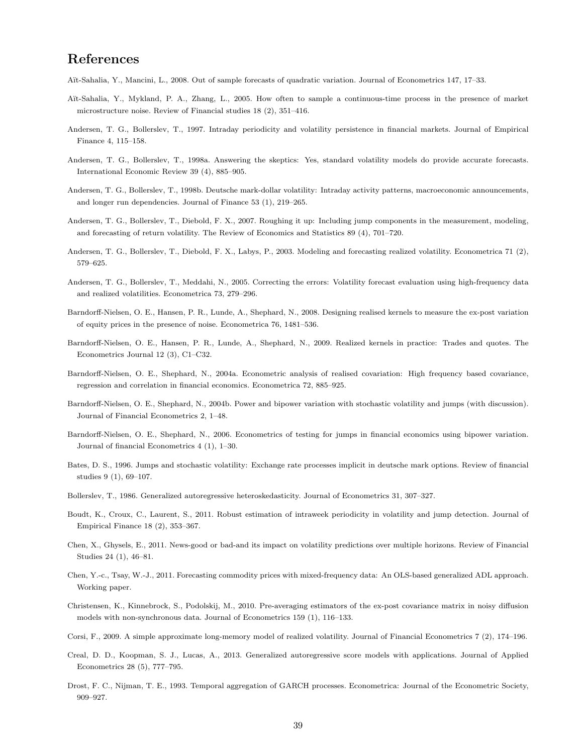# References

Aït-Sahalia, Y., Mancini, L., 2008. Out of sample forecasts of quadratic variation. Journal of Econometrics 147, 17–33.

- Aït-Sahalia, Y., Mykland, P. A., Zhang, L., 2005. How often to sample a continuous-time process in the presence of market microstructure noise. Review of Financial studies 18 (2), 351–416.
- Andersen, T. G., Bollerslev, T., 1997. Intraday periodicity and volatility persistence in financial markets. Journal of Empirical Finance 4, 115–158.
- Andersen, T. G., Bollerslev, T., 1998a. Answering the skeptics: Yes, standard volatility models do provide accurate forecasts. International Economic Review 39 (4), 885–905.
- Andersen, T. G., Bollerslev, T., 1998b. Deutsche mark-dollar volatility: Intraday activity patterns, macroeconomic announcements, and longer run dependencies. Journal of Finance 53 (1), 219–265.
- Andersen, T. G., Bollerslev, T., Diebold, F. X., 2007. Roughing it up: Including jump components in the measurement, modeling, and forecasting of return volatility. The Review of Economics and Statistics 89 (4), 701–720.
- Andersen, T. G., Bollerslev, T., Diebold, F. X., Labys, P., 2003. Modeling and forecasting realized volatility. Econometrica 71 (2), 579–625.
- Andersen, T. G., Bollerslev, T., Meddahi, N., 2005. Correcting the errors: Volatility forecast evaluation using high-frequency data and realized volatilities. Econometrica 73, 279–296.
- Barndorff-Nielsen, O. E., Hansen, P. R., Lunde, A., Shephard, N., 2008. Designing realised kernels to measure the ex-post variation of equity prices in the presence of noise. Econometrica 76, 1481–536.
- Barndorff-Nielsen, O. E., Hansen, P. R., Lunde, A., Shephard, N., 2009. Realized kernels in practice: Trades and quotes. The Econometrics Journal 12 (3), C1–C32.
- Barndorff-Nielsen, O. E., Shephard, N., 2004a. Econometric analysis of realised covariation: High frequency based covariance, regression and correlation in financial economics. Econometrica 72, 885–925.
- Barndorff-Nielsen, O. E., Shephard, N., 2004b. Power and bipower variation with stochastic volatility and jumps (with discussion). Journal of Financial Econometrics 2, 1–48.
- Barndorff-Nielsen, O. E., Shephard, N., 2006. Econometrics of testing for jumps in financial economics using bipower variation. Journal of financial Econometrics 4 (1), 1–30.
- Bates, D. S., 1996. Jumps and stochastic volatility: Exchange rate processes implicit in deutsche mark options. Review of financial studies 9 (1), 69–107.
- Bollerslev, T., 1986. Generalized autoregressive heteroskedasticity. Journal of Econometrics 31, 307–327.
- Boudt, K., Croux, C., Laurent, S., 2011. Robust estimation of intraweek periodicity in volatility and jump detection. Journal of Empirical Finance 18 (2), 353–367.
- Chen, X., Ghysels, E., 2011. News-good or bad-and its impact on volatility predictions over multiple horizons. Review of Financial Studies 24 (1), 46–81.
- Chen, Y.-c., Tsay, W.-J., 2011. Forecasting commodity prices with mixed-frequency data: An OLS-based generalized ADL approach. Working paper.
- Christensen, K., Kinnebrock, S., Podolskij, M., 2010. Pre-averaging estimators of the ex-post covariance matrix in noisy diffusion models with non-synchronous data. Journal of Econometrics 159 (1), 116–133.
- Corsi, F., 2009. A simple approximate long-memory model of realized volatility. Journal of Financial Econometrics 7 (2), 174–196.
- Creal, D. D., Koopman, S. J., Lucas, A., 2013. Generalized autoregressive score models with applications. Journal of Applied Econometrics 28 (5), 777–795.
- Drost, F. C., Nijman, T. E., 1993. Temporal aggregation of GARCH processes. Econometrica: Journal of the Econometric Society, 909–927.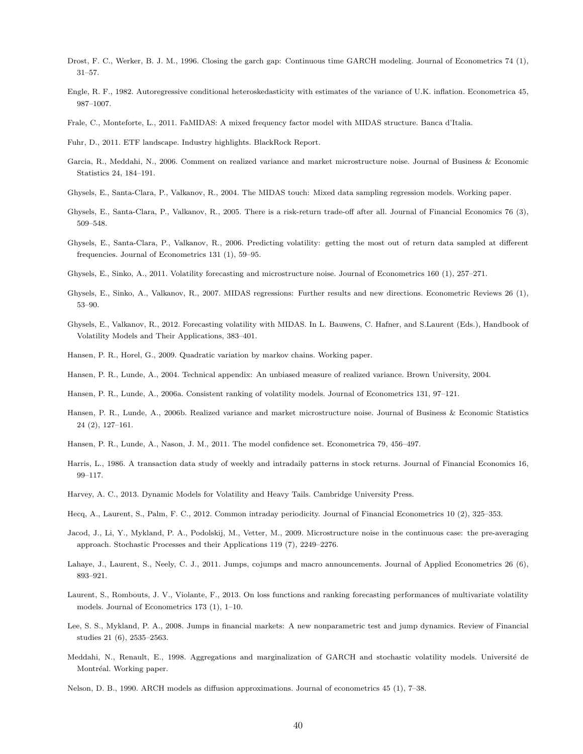- Drost, F. C., Werker, B. J. M., 1996. Closing the garch gap: Continuous time GARCH modeling. Journal of Econometrics 74 (1), 31–57.
- Engle, R. F., 1982. Autoregressive conditional heteroskedasticity with estimates of the variance of U.K. inflation. Econometrica 45, 987–1007.
- Frale, C., Monteforte, L., 2011. FaMIDAS: A mixed frequency factor model with MIDAS structure. Banca d'Italia.
- Fuhr, D., 2011. ETF landscape. Industry highlights. BlackRock Report.
- Garcia, R., Meddahi, N., 2006. Comment on realized variance and market microstructure noise. Journal of Business & Economic Statistics 24, 184–191.
- Ghysels, E., Santa-Clara, P., Valkanov, R., 2004. The MIDAS touch: Mixed data sampling regression models. Working paper.
- Ghysels, E., Santa-Clara, P., Valkanov, R., 2005. There is a risk-return trade-off after all. Journal of Financial Economics 76 (3), 509–548.
- Ghysels, E., Santa-Clara, P., Valkanov, R., 2006. Predicting volatility: getting the most out of return data sampled at different frequencies. Journal of Econometrics 131 (1), 59–95.
- Ghysels, E., Sinko, A., 2011. Volatility forecasting and microstructure noise. Journal of Econometrics 160 (1), 257–271.
- Ghysels, E., Sinko, A., Valkanov, R., 2007. MIDAS regressions: Further results and new directions. Econometric Reviews 26 (1), 53–90.
- Ghysels, E., Valkanov, R., 2012. Forecasting volatility with MIDAS. In L. Bauwens, C. Hafner, and S.Laurent (Eds.), Handbook of Volatility Models and Their Applications, 383–401.
- Hansen, P. R., Horel, G., 2009. Quadratic variation by markov chains. Working paper.
- Hansen, P. R., Lunde, A., 2004. Technical appendix: An unbiased measure of realized variance. Brown University, 2004.
- Hansen, P. R., Lunde, A., 2006a. Consistent ranking of volatility models. Journal of Econometrics 131, 97–121.
- Hansen, P. R., Lunde, A., 2006b. Realized variance and market microstructure noise. Journal of Business & Economic Statistics 24 (2), 127–161.
- Hansen, P. R., Lunde, A., Nason, J. M., 2011. The model confidence set. Econometrica 79, 456–497.
- Harris, L., 1986. A transaction data study of weekly and intradaily patterns in stock returns. Journal of Financial Economics 16, 99–117.
- Harvey, A. C., 2013. Dynamic Models for Volatility and Heavy Tails. Cambridge University Press.
- Hecq, A., Laurent, S., Palm, F. C., 2012. Common intraday periodicity. Journal of Financial Econometrics 10 (2), 325–353.
- Jacod, J., Li, Y., Mykland, P. A., Podolskij, M., Vetter, M., 2009. Microstructure noise in the continuous case: the pre-averaging approach. Stochastic Processes and their Applications 119 (7), 2249–2276.
- Lahaye, J., Laurent, S., Neely, C. J., 2011. Jumps, cojumps and macro announcements. Journal of Applied Econometrics 26 (6), 893–921.
- Laurent, S., Rombouts, J. V., Violante, F., 2013. On loss functions and ranking forecasting performances of multivariate volatility models. Journal of Econometrics 173 (1), 1–10.
- Lee, S. S., Mykland, P. A., 2008. Jumps in financial markets: A new nonparametric test and jump dynamics. Review of Financial studies 21 (6), 2535–2563.
- Meddahi, N., Renault, E., 1998. Aggregations and marginalization of GARCH and stochastic volatility models. Université de Montréal. Working paper.
- Nelson, D. B., 1990. ARCH models as diffusion approximations. Journal of econometrics 45 (1), 7–38.